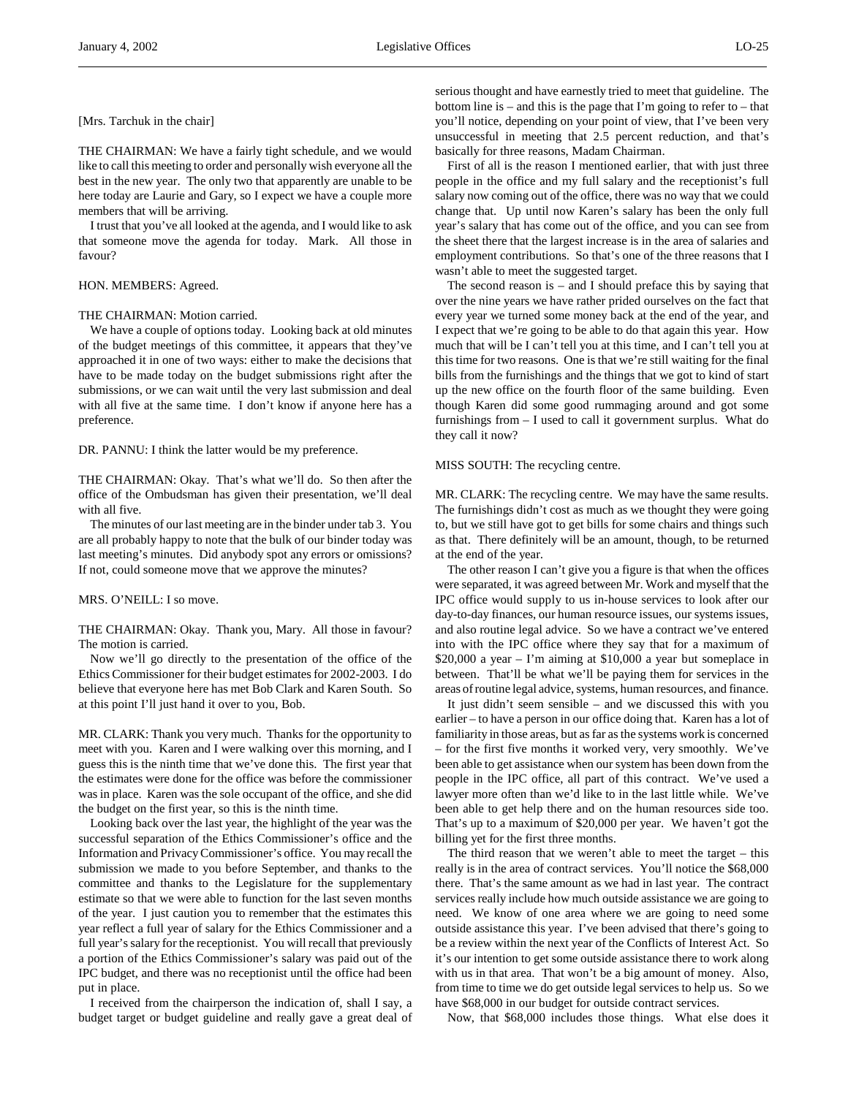[Mrs. Tarchuk in the chair]

THE CHAIRMAN: We have a fairly tight schedule, and we would like to call this meeting to order and personally wish everyone all the best in the new year. The only two that apparently are unable to be here today are Laurie and Gary, so I expect we have a couple more members that will be arriving.

I trust that you've all looked at the agenda, and I would like to ask that someone move the agenda for today. Mark. All those in favour?

# HON. MEMBERS: Agreed.

#### THE CHAIRMAN: Motion carried.

We have a couple of options today. Looking back at old minutes of the budget meetings of this committee, it appears that they've approached it in one of two ways: either to make the decisions that have to be made today on the budget submissions right after the submissions, or we can wait until the very last submission and deal with all five at the same time. I don't know if anyone here has a preference.

DR. PANNU: I think the latter would be my preference.

THE CHAIRMAN: Okay. That's what we'll do. So then after the office of the Ombudsman has given their presentation, we'll deal with all five.

The minutes of our last meeting are in the binder under tab 3. You are all probably happy to note that the bulk of our binder today was last meeting's minutes. Did anybody spot any errors or omissions? If not, could someone move that we approve the minutes?

MRS. O'NEILL: I so move.

THE CHAIRMAN: Okay. Thank you, Mary. All those in favour? The motion is carried.

Now we'll go directly to the presentation of the office of the Ethics Commissioner for their budget estimates for 2002-2003. I do believe that everyone here has met Bob Clark and Karen South. So at this point I'll just hand it over to you, Bob.

MR. CLARK: Thank you very much. Thanks for the opportunity to meet with you. Karen and I were walking over this morning, and I guess this is the ninth time that we've done this. The first year that the estimates were done for the office was before the commissioner was in place. Karen was the sole occupant of the office, and she did the budget on the first year, so this is the ninth time.

Looking back over the last year, the highlight of the year was the successful separation of the Ethics Commissioner's office and the Information and Privacy Commissioner's office. You may recall the submission we made to you before September, and thanks to the committee and thanks to the Legislature for the supplementary estimate so that we were able to function for the last seven months of the year. I just caution you to remember that the estimates this year reflect a full year of salary for the Ethics Commissioner and a full year's salary for the receptionist. You will recall that previously a portion of the Ethics Commissioner's salary was paid out of the IPC budget, and there was no receptionist until the office had been put in place.

I received from the chairperson the indication of, shall I say, a budget target or budget guideline and really gave a great deal of serious thought and have earnestly tried to meet that guideline. The bottom line is – and this is the page that I'm going to refer to – that you'll notice, depending on your point of view, that I've been very unsuccessful in meeting that 2.5 percent reduction, and that's basically for three reasons, Madam Chairman.

First of all is the reason I mentioned earlier, that with just three people in the office and my full salary and the receptionist's full salary now coming out of the office, there was no way that we could change that. Up until now Karen's salary has been the only full year's salary that has come out of the office, and you can see from the sheet there that the largest increase is in the area of salaries and employment contributions. So that's one of the three reasons that I wasn't able to meet the suggested target.

The second reason is  $-$  and I should preface this by saying that over the nine years we have rather prided ourselves on the fact that every year we turned some money back at the end of the year, and I expect that we're going to be able to do that again this year. How much that will be I can't tell you at this time, and I can't tell you at this time for two reasons. One is that we're still waiting for the final bills from the furnishings and the things that we got to kind of start up the new office on the fourth floor of the same building. Even though Karen did some good rummaging around and got some furnishings from – I used to call it government surplus. What do they call it now?

### MISS SOUTH: The recycling centre.

MR. CLARK: The recycling centre. We may have the same results. The furnishings didn't cost as much as we thought they were going to, but we still have got to get bills for some chairs and things such as that. There definitely will be an amount, though, to be returned at the end of the year.

The other reason I can't give you a figure is that when the offices were separated, it was agreed between Mr. Work and myself that the IPC office would supply to us in-house services to look after our day-to-day finances, our human resource issues, our systems issues, and also routine legal advice. So we have a contract we've entered into with the IPC office where they say that for a maximum of \$20,000 a year – I'm aiming at \$10,000 a year but someplace in between. That'll be what we'll be paying them for services in the areas of routine legal advice, systems, human resources, and finance.

It just didn't seem sensible – and we discussed this with you earlier – to have a person in our office doing that. Karen has a lot of familiarity in those areas, but as far as the systems work is concerned – for the first five months it worked very, very smoothly. We've been able to get assistance when our system has been down from the people in the IPC office, all part of this contract. We've used a lawyer more often than we'd like to in the last little while. We've been able to get help there and on the human resources side too. That's up to a maximum of \$20,000 per year. We haven't got the billing yet for the first three months.

The third reason that we weren't able to meet the target  $-$  this really is in the area of contract services. You'll notice the \$68,000 there. That's the same amount as we had in last year. The contract services really include how much outside assistance we are going to need. We know of one area where we are going to need some outside assistance this year. I've been advised that there's going to be a review within the next year of the Conflicts of Interest Act. So it's our intention to get some outside assistance there to work along with us in that area. That won't be a big amount of money. Also, from time to time we do get outside legal services to help us. So we have \$68,000 in our budget for outside contract services.

Now, that \$68,000 includes those things. What else does it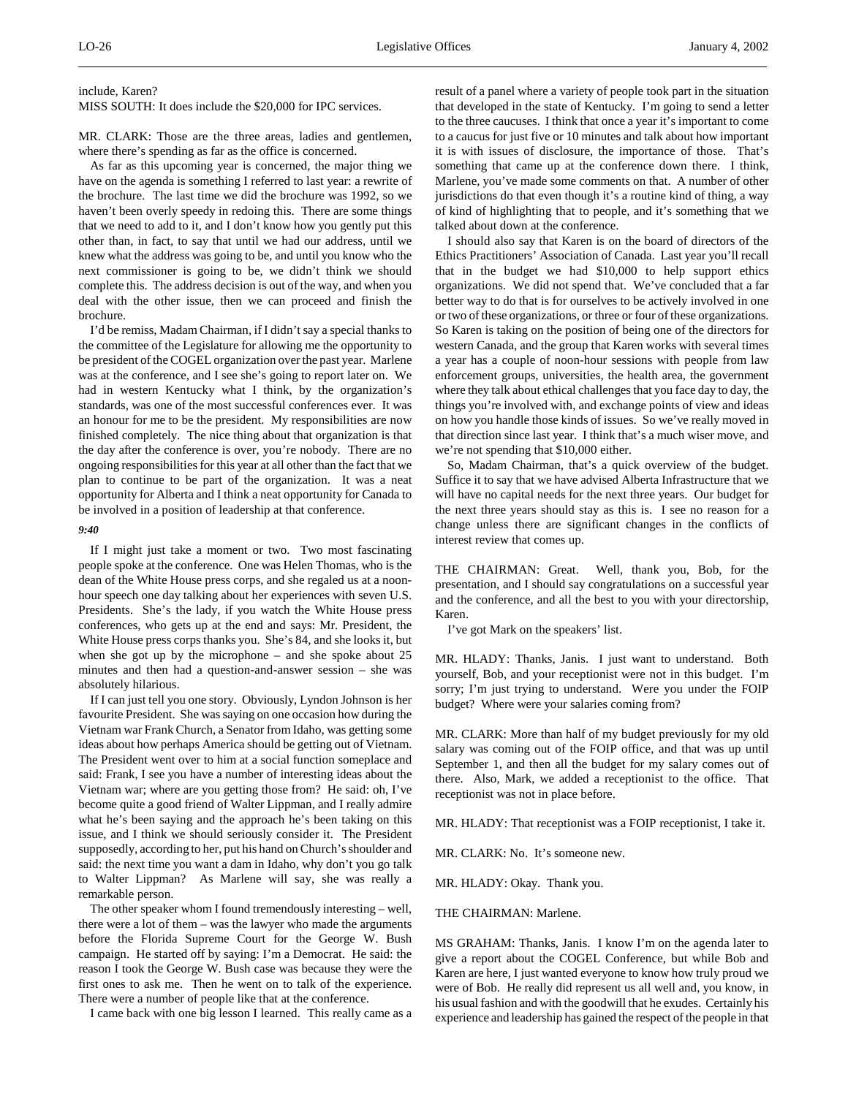### include, Karen?

MISS SOUTH: It does include the \$20,000 for IPC services.

MR. CLARK: Those are the three areas, ladies and gentlemen, where there's spending as far as the office is concerned.

As far as this upcoming year is concerned, the major thing we have on the agenda is something I referred to last year: a rewrite of the brochure. The last time we did the brochure was 1992, so we haven't been overly speedy in redoing this. There are some things that we need to add to it, and I don't know how you gently put this other than, in fact, to say that until we had our address, until we knew what the address was going to be, and until you know who the next commissioner is going to be, we didn't think we should complete this. The address decision is out of the way, and when you deal with the other issue, then we can proceed and finish the brochure.

I'd be remiss, Madam Chairman, if I didn't say a special thanks to the committee of the Legislature for allowing me the opportunity to be president of the COGEL organization over the past year. Marlene was at the conference, and I see she's going to report later on. We had in western Kentucky what I think, by the organization's standards, was one of the most successful conferences ever. It was an honour for me to be the president. My responsibilities are now finished completely. The nice thing about that organization is that the day after the conference is over, you're nobody. There are no ongoing responsibilities for this year at all other than the fact that we plan to continue to be part of the organization. It was a neat opportunity for Alberta and I think a neat opportunity for Canada to be involved in a position of leadership at that conference.

# *9:40*

If I might just take a moment or two. Two most fascinating people spoke at the conference. One was Helen Thomas, who is the dean of the White House press corps, and she regaled us at a noonhour speech one day talking about her experiences with seven U.S. Presidents. She's the lady, if you watch the White House press conferences, who gets up at the end and says: Mr. President, the White House press corps thanks you. She's 84, and she looks it, but when she got up by the microphone – and she spoke about 25 minutes and then had a question-and-answer session – she was absolutely hilarious.

If I can just tell you one story. Obviously, Lyndon Johnson is her favourite President. She was saying on one occasion how during the Vietnam war Frank Church, a Senator from Idaho, was getting some ideas about how perhaps America should be getting out of Vietnam. The President went over to him at a social function someplace and said: Frank, I see you have a number of interesting ideas about the Vietnam war; where are you getting those from? He said: oh, I've become quite a good friend of Walter Lippman, and I really admire what he's been saying and the approach he's been taking on this issue, and I think we should seriously consider it. The President supposedly, according to her, put his hand on Church's shoulder and said: the next time you want a dam in Idaho, why don't you go talk to Walter Lippman? As Marlene will say, she was really a remarkable person.

The other speaker whom I found tremendously interesting – well, there were a lot of them – was the lawyer who made the arguments before the Florida Supreme Court for the George W. Bush campaign. He started off by saying: I'm a Democrat. He said: the reason I took the George W. Bush case was because they were the first ones to ask me. Then he went on to talk of the experience. There were a number of people like that at the conference.

I came back with one big lesson I learned. This really came as a

result of a panel where a variety of people took part in the situation that developed in the state of Kentucky. I'm going to send a letter to the three caucuses. I think that once a year it's important to come to a caucus for just five or 10 minutes and talk about how important it is with issues of disclosure, the importance of those. That's something that came up at the conference down there. I think, Marlene, you've made some comments on that. A number of other jurisdictions do that even though it's a routine kind of thing, a way of kind of highlighting that to people, and it's something that we talked about down at the conference.

I should also say that Karen is on the board of directors of the Ethics Practitioners' Association of Canada. Last year you'll recall that in the budget we had \$10,000 to help support ethics organizations. We did not spend that. We've concluded that a far better way to do that is for ourselves to be actively involved in one or two of these organizations, or three or four of these organizations. So Karen is taking on the position of being one of the directors for western Canada, and the group that Karen works with several times a year has a couple of noon-hour sessions with people from law enforcement groups, universities, the health area, the government where they talk about ethical challenges that you face day to day, the things you're involved with, and exchange points of view and ideas on how you handle those kinds of issues. So we've really moved in that direction since last year. I think that's a much wiser move, and we're not spending that \$10,000 either.

So, Madam Chairman, that's a quick overview of the budget. Suffice it to say that we have advised Alberta Infrastructure that we will have no capital needs for the next three years. Our budget for the next three years should stay as this is. I see no reason for a change unless there are significant changes in the conflicts of interest review that comes up.

THE CHAIRMAN: Great. Well, thank you, Bob, for the presentation, and I should say congratulations on a successful year and the conference, and all the best to you with your directorship, Karen.

I've got Mark on the speakers' list.

MR. HLADY: Thanks, Janis. I just want to understand. Both yourself, Bob, and your receptionist were not in this budget. I'm sorry; I'm just trying to understand. Were you under the FOIP budget? Where were your salaries coming from?

MR. CLARK: More than half of my budget previously for my old salary was coming out of the FOIP office, and that was up until September 1, and then all the budget for my salary comes out of there. Also, Mark, we added a receptionist to the office. That receptionist was not in place before.

MR. HLADY: That receptionist was a FOIP receptionist, I take it.

MR. CLARK: No. It's someone new.

MR. HLADY: Okay. Thank you.

THE CHAIRMAN: Marlene.

MS GRAHAM: Thanks, Janis. I know I'm on the agenda later to give a report about the COGEL Conference, but while Bob and Karen are here, I just wanted everyone to know how truly proud we were of Bob. He really did represent us all well and, you know, in his usual fashion and with the goodwill that he exudes. Certainly his experience and leadership has gained the respect of the people in that

 $\overline{a}$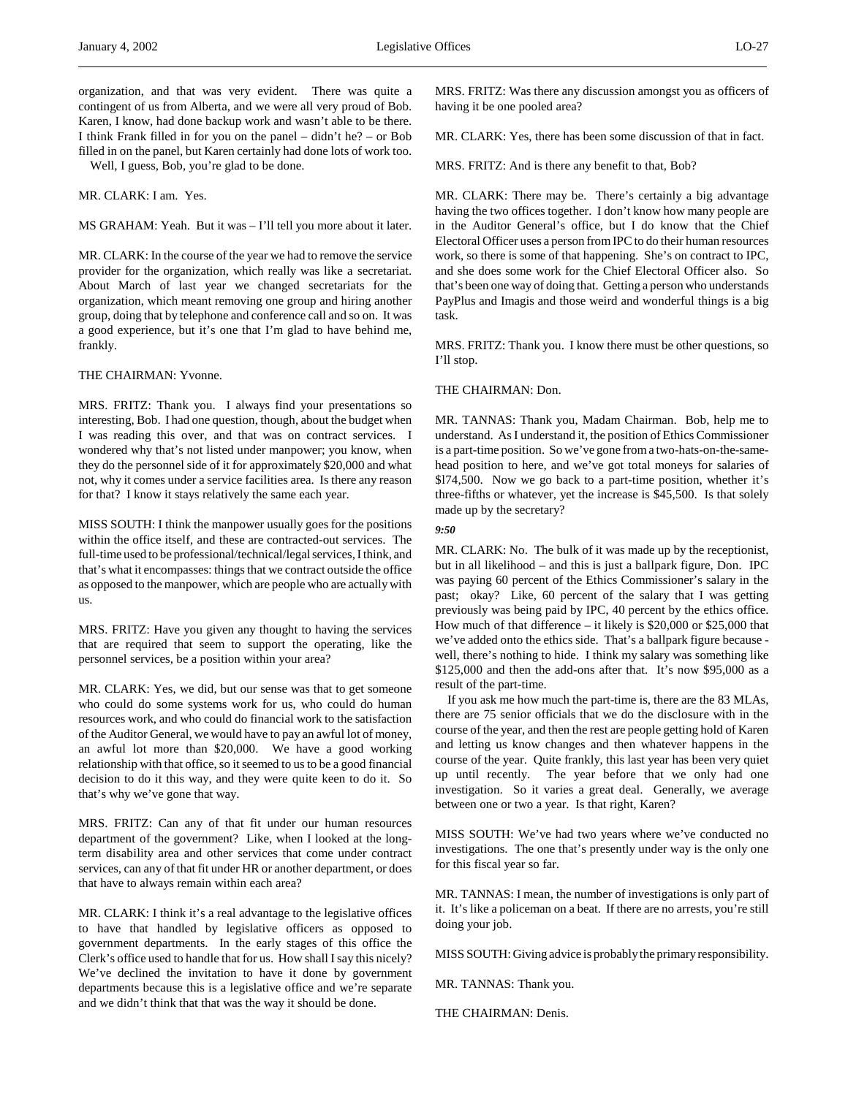organization, and that was very evident. There was quite a contingent of us from Alberta, and we were all very proud of Bob. Karen, I know, had done backup work and wasn't able to be there. I think Frank filled in for you on the panel – didn't he? – or Bob filled in on the panel, but Karen certainly had done lots of work too.

Well, I guess, Bob, you're glad to be done.

MR. CLARK: I am. Yes.

MS GRAHAM: Yeah. But it was – I'll tell you more about it later.

MR. CLARK: In the course of the year we had to remove the service provider for the organization, which really was like a secretariat. About March of last year we changed secretariats for the organization, which meant removing one group and hiring another group, doing that by telephone and conference call and so on. It was a good experience, but it's one that I'm glad to have behind me, frankly.

THE CHAIRMAN: Yvonne.

MRS. FRITZ: Thank you. I always find your presentations so interesting, Bob. I had one question, though, about the budget when I was reading this over, and that was on contract services. I wondered why that's not listed under manpower; you know, when they do the personnel side of it for approximately \$20,000 and what not, why it comes under a service facilities area. Is there any reason for that? I know it stays relatively the same each year.

MISS SOUTH: I think the manpower usually goes for the positions within the office itself, and these are contracted-out services. The full-time used to be professional/technical/legal services, I think, and that's what it encompasses: things that we contract outside the office as opposed to the manpower, which are people who are actually with us.

MRS. FRITZ: Have you given any thought to having the services that are required that seem to support the operating, like the personnel services, be a position within your area?

MR. CLARK: Yes, we did, but our sense was that to get someone who could do some systems work for us, who could do human resources work, and who could do financial work to the satisfaction of the Auditor General, we would have to pay an awful lot of money, an awful lot more than \$20,000. We have a good working relationship with that office, so it seemed to us to be a good financial decision to do it this way, and they were quite keen to do it. So that's why we've gone that way.

MRS. FRITZ: Can any of that fit under our human resources department of the government? Like, when I looked at the longterm disability area and other services that come under contract services, can any of that fit under HR or another department, or does that have to always remain within each area?

MR. CLARK: I think it's a real advantage to the legislative offices to have that handled by legislative officers as opposed to government departments. In the early stages of this office the Clerk's office used to handle that for us. How shall I say this nicely? We've declined the invitation to have it done by government departments because this is a legislative office and we're separate and we didn't think that that was the way it should be done.

MRS. FRITZ: Was there any discussion amongst you as officers of having it be one pooled area?

MR. CLARK: Yes, there has been some discussion of that in fact.

MRS. FRITZ: And is there any benefit to that, Bob?

MR. CLARK: There may be. There's certainly a big advantage having the two offices together. I don't know how many people are in the Auditor General's office, but I do know that the Chief Electoral Officer uses a person from IPC to do their human resources work, so there is some of that happening. She's on contract to IPC, and she does some work for the Chief Electoral Officer also. So that's been one way of doing that. Getting a person who understands PayPlus and Imagis and those weird and wonderful things is a big task.

MRS. FRITZ: Thank you. I know there must be other questions, so I'll stop.

THE CHAIRMAN: Don.

MR. TANNAS: Thank you, Madam Chairman. Bob, help me to understand. As I understand it, the position of Ethics Commissioner is a part-time position. So we've gone from a two-hats-on-the-samehead position to here, and we've got total moneys for salaries of \$l74,500. Now we go back to a part-time position, whether it's three-fifths or whatever, yet the increase is \$45,500. Is that solely made up by the secretary?

# *9:50*

MR. CLARK: No. The bulk of it was made up by the receptionist, but in all likelihood – and this is just a ballpark figure, Don. IPC was paying 60 percent of the Ethics Commissioner's salary in the past; okay? Like, 60 percent of the salary that I was getting previously was being paid by IPC, 40 percent by the ethics office. How much of that difference – it likely is \$20,000 or \$25,000 that we've added onto the ethics side. That's a ballpark figure because well, there's nothing to hide. I think my salary was something like \$125,000 and then the add-ons after that. It's now \$95,000 as a result of the part-time.

If you ask me how much the part-time is, there are the 83 MLAs, there are 75 senior officials that we do the disclosure with in the course of the year, and then the rest are people getting hold of Karen and letting us know changes and then whatever happens in the course of the year. Quite frankly, this last year has been very quiet up until recently. The year before that we only had one investigation. So it varies a great deal. Generally, we average between one or two a year. Is that right, Karen?

MISS SOUTH: We've had two years where we've conducted no investigations. The one that's presently under way is the only one for this fiscal year so far.

MR. TANNAS: I mean, the number of investigations is only part of it. It's like a policeman on a beat. If there are no arrests, you're still doing your job.

MISS SOUTH: Giving advice is probably the primary responsibility.

MR. TANNAS: Thank you.

THE CHAIRMAN: Denis.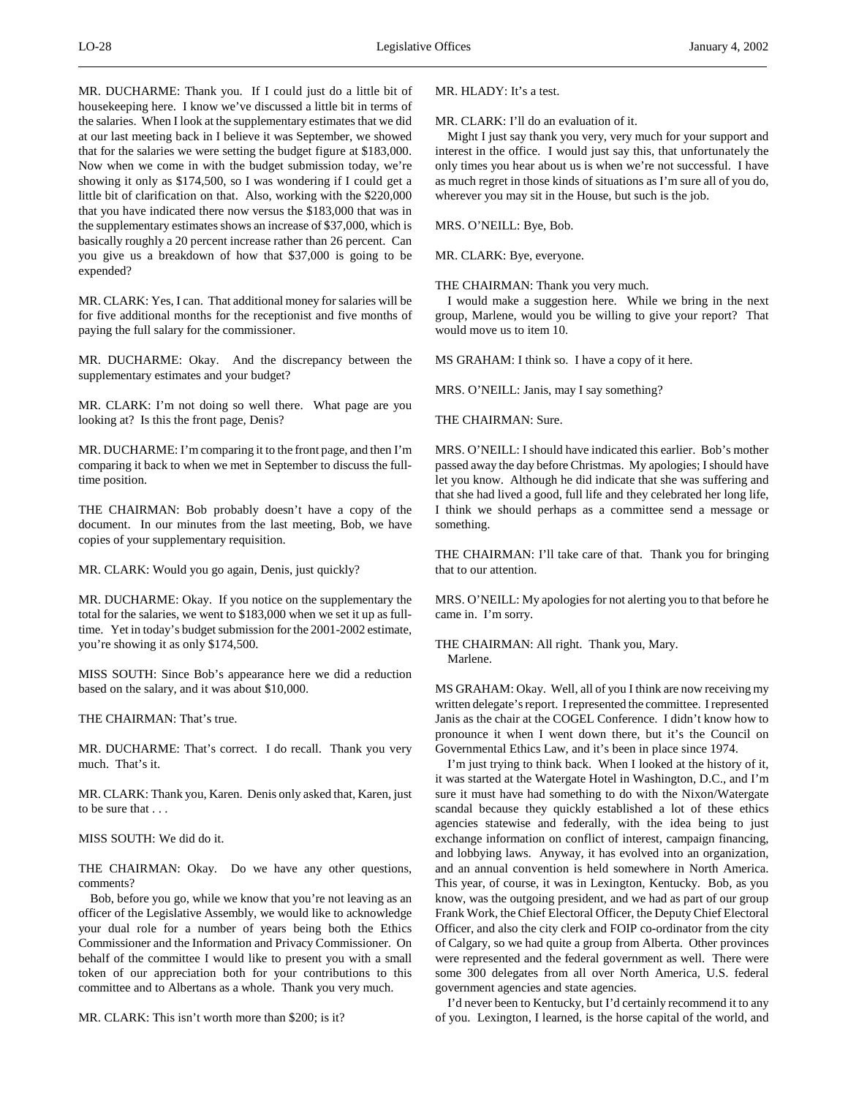MR. DUCHARME: Thank you. If I could just do a little bit of housekeeping here. I know we've discussed a little bit in terms of the salaries. When I look at the supplementary estimates that we did at our last meeting back in I believe it was September, we showed that for the salaries we were setting the budget figure at \$183,000. Now when we come in with the budget submission today, we're showing it only as \$174,500, so I was wondering if I could get a little bit of clarification on that. Also, working with the \$220,000 that you have indicated there now versus the \$183,000 that was in the supplementary estimates shows an increase of \$37,000, which is basically roughly a 20 percent increase rather than 26 percent. Can you give us a breakdown of how that \$37,000 is going to be expended?

MR. CLARK: Yes, I can. That additional money for salaries will be for five additional months for the receptionist and five months of paying the full salary for the commissioner.

MR. DUCHARME: Okay. And the discrepancy between the supplementary estimates and your budget?

MR. CLARK: I'm not doing so well there. What page are you looking at? Is this the front page, Denis?

MR. DUCHARME: I'm comparing it to the front page, and then I'm comparing it back to when we met in September to discuss the fulltime position.

THE CHAIRMAN: Bob probably doesn't have a copy of the document. In our minutes from the last meeting, Bob, we have copies of your supplementary requisition.

MR. CLARK: Would you go again, Denis, just quickly?

MR. DUCHARME: Okay. If you notice on the supplementary the total for the salaries, we went to \$183,000 when we set it up as fulltime. Yet in today's budget submission for the 2001-2002 estimate, you're showing it as only \$174,500.

MISS SOUTH: Since Bob's appearance here we did a reduction based on the salary, and it was about \$10,000.

THE CHAIRMAN: That's true.

MR. DUCHARME: That's correct. I do recall. Thank you very much. That's it.

MR. CLARK: Thank you, Karen. Denis only asked that, Karen, just to be sure that . . .

MISS SOUTH: We did do it.

THE CHAIRMAN: Okay. Do we have any other questions, comments?

Bob, before you go, while we know that you're not leaving as an officer of the Legislative Assembly, we would like to acknowledge your dual role for a number of years being both the Ethics Commissioner and the Information and Privacy Commissioner. On behalf of the committee I would like to present you with a small token of our appreciation both for your contributions to this committee and to Albertans as a whole. Thank you very much.

MR. CLARK: This isn't worth more than \$200; is it?

MR. HLADY: It's a test.

MR. CLARK: I'll do an evaluation of it.

Might I just say thank you very, very much for your support and interest in the office. I would just say this, that unfortunately the only times you hear about us is when we're not successful. I have as much regret in those kinds of situations as I'm sure all of you do, wherever you may sit in the House, but such is the job.

MRS. O'NEILL: Bye, Bob.

MR. CLARK: Bye, everyone.

THE CHAIRMAN: Thank you very much.

I would make a suggestion here. While we bring in the next group, Marlene, would you be willing to give your report? That would move us to item 10.

MS GRAHAM: I think so. I have a copy of it here.

MRS. O'NEILL: Janis, may I say something?

THE CHAIRMAN: Sure.

MRS. O'NEILL: I should have indicated this earlier. Bob's mother passed away the day before Christmas. My apologies; I should have let you know. Although he did indicate that she was suffering and that she had lived a good, full life and they celebrated her long life, I think we should perhaps as a committee send a message or something.

THE CHAIRMAN: I'll take care of that. Thank you for bringing that to our attention.

MRS. O'NEILL: My apologies for not alerting you to that before he came in. I'm sorry.

THE CHAIRMAN: All right. Thank you, Mary. Marlene.

MS GRAHAM: Okay. Well, all of you I think are now receiving my written delegate's report. I represented the committee. I represented Janis as the chair at the COGEL Conference. I didn't know how to pronounce it when I went down there, but it's the Council on Governmental Ethics Law, and it's been in place since 1974.

I'm just trying to think back. When I looked at the history of it, it was started at the Watergate Hotel in Washington, D.C., and I'm sure it must have had something to do with the Nixon/Watergate scandal because they quickly established a lot of these ethics agencies statewise and federally, with the idea being to just exchange information on conflict of interest, campaign financing, and lobbying laws. Anyway, it has evolved into an organization, and an annual convention is held somewhere in North America. This year, of course, it was in Lexington, Kentucky. Bob, as you know, was the outgoing president, and we had as part of our group Frank Work, the Chief Electoral Officer, the Deputy Chief Electoral Officer, and also the city clerk and FOIP co-ordinator from the city of Calgary, so we had quite a group from Alberta. Other provinces were represented and the federal government as well. There were some 300 delegates from all over North America, U.S. federal government agencies and state agencies.

I'd never been to Kentucky, but I'd certainly recommend it to any of you. Lexington, I learned, is the horse capital of the world, and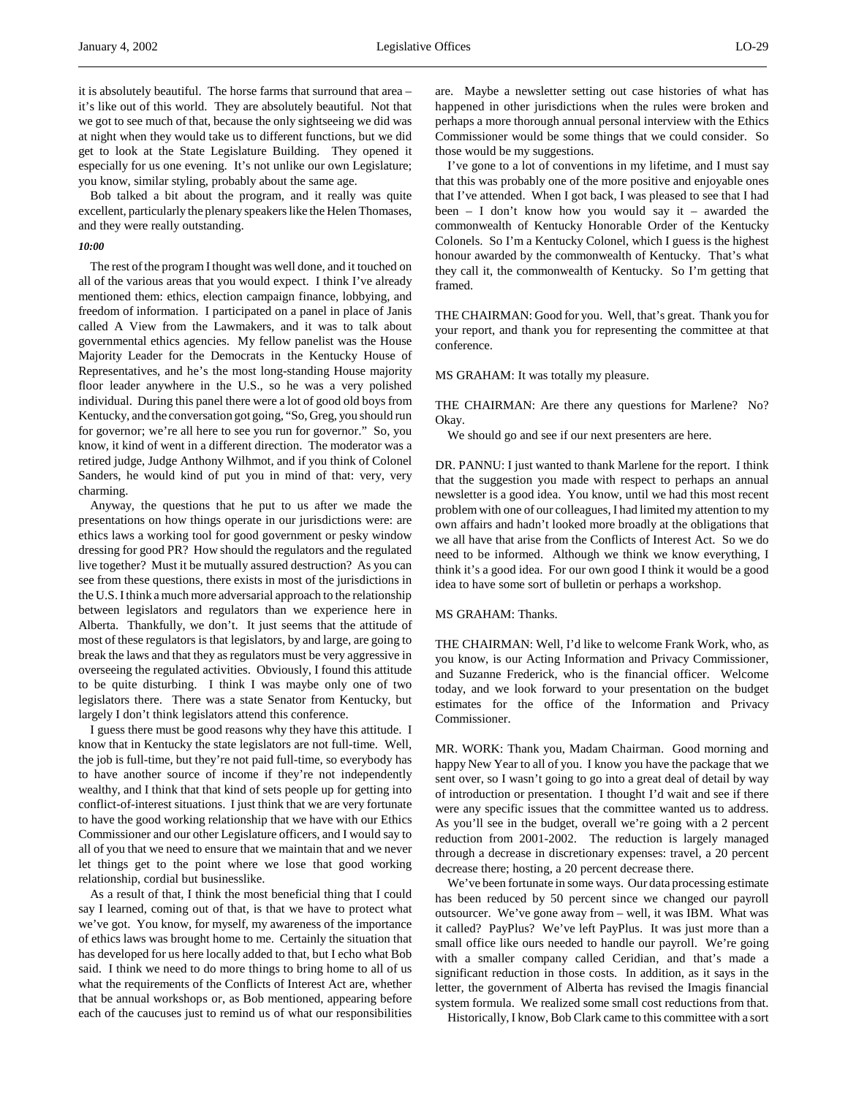it is absolutely beautiful. The horse farms that surround that area – it's like out of this world. They are absolutely beautiful. Not that we got to see much of that, because the only sightseeing we did was at night when they would take us to different functions, but we did get to look at the State Legislature Building. They opened it especially for us one evening. It's not unlike our own Legislature; you know, similar styling, probably about the same age.

Bob talked a bit about the program, and it really was quite excellent, particularly the plenary speakers like the Helen Thomases, and they were really outstanding.

## *10:00*

The rest of the program I thought was well done, and it touched on all of the various areas that you would expect. I think I've already mentioned them: ethics, election campaign finance, lobbying, and freedom of information. I participated on a panel in place of Janis called A View from the Lawmakers, and it was to talk about governmental ethics agencies. My fellow panelist was the House Majority Leader for the Democrats in the Kentucky House of Representatives, and he's the most long-standing House majority floor leader anywhere in the U.S., so he was a very polished individual. During this panel there were a lot of good old boys from Kentucky, and the conversation got going, "So, Greg, you should run for governor; we're all here to see you run for governor." So, you know, it kind of went in a different direction. The moderator was a retired judge, Judge Anthony Wilhmot, and if you think of Colonel Sanders, he would kind of put you in mind of that: very, very charming.

Anyway, the questions that he put to us after we made the presentations on how things operate in our jurisdictions were: are ethics laws a working tool for good government or pesky window dressing for good PR? How should the regulators and the regulated live together? Must it be mutually assured destruction? As you can see from these questions, there exists in most of the jurisdictions in the U.S. I think a much more adversarial approach to the relationship between legislators and regulators than we experience here in Alberta. Thankfully, we don't. It just seems that the attitude of most of these regulators is that legislators, by and large, are going to break the laws and that they as regulators must be very aggressive in overseeing the regulated activities. Obviously, I found this attitude to be quite disturbing. I think I was maybe only one of two legislators there. There was a state Senator from Kentucky, but largely I don't think legislators attend this conference.

I guess there must be good reasons why they have this attitude. I know that in Kentucky the state legislators are not full-time. Well, the job is full-time, but they're not paid full-time, so everybody has to have another source of income if they're not independently wealthy, and I think that that kind of sets people up for getting into conflict-of-interest situations. I just think that we are very fortunate to have the good working relationship that we have with our Ethics Commissioner and our other Legislature officers, and I would say to all of you that we need to ensure that we maintain that and we never let things get to the point where we lose that good working relationship, cordial but businesslike.

As a result of that, I think the most beneficial thing that I could say I learned, coming out of that, is that we have to protect what we've got. You know, for myself, my awareness of the importance of ethics laws was brought home to me. Certainly the situation that has developed for us here locally added to that, but I echo what Bob said. I think we need to do more things to bring home to all of us what the requirements of the Conflicts of Interest Act are, whether that be annual workshops or, as Bob mentioned, appearing before each of the caucuses just to remind us of what our responsibilities

are. Maybe a newsletter setting out case histories of what has happened in other jurisdictions when the rules were broken and perhaps a more thorough annual personal interview with the Ethics Commissioner would be some things that we could consider. So those would be my suggestions.

I've gone to a lot of conventions in my lifetime, and I must say that this was probably one of the more positive and enjoyable ones that I've attended. When I got back, I was pleased to see that I had been – I don't know how you would say it – awarded the commonwealth of Kentucky Honorable Order of the Kentucky Colonels. So I'm a Kentucky Colonel, which I guess is the highest honour awarded by the commonwealth of Kentucky. That's what they call it, the commonwealth of Kentucky. So I'm getting that framed.

THE CHAIRMAN: Good for you. Well, that's great. Thank you for your report, and thank you for representing the committee at that conference.

MS GRAHAM: It was totally my pleasure.

THE CHAIRMAN: Are there any questions for Marlene? No? Okay.

We should go and see if our next presenters are here.

DR. PANNU: I just wanted to thank Marlene for the report. I think that the suggestion you made with respect to perhaps an annual newsletter is a good idea. You know, until we had this most recent problem with one of our colleagues, I had limited my attention to my own affairs and hadn't looked more broadly at the obligations that we all have that arise from the Conflicts of Interest Act. So we do need to be informed. Although we think we know everything, I think it's a good idea. For our own good I think it would be a good idea to have some sort of bulletin or perhaps a workshop.

# MS GRAHAM: Thanks.

THE CHAIRMAN: Well, I'd like to welcome Frank Work, who, as you know, is our Acting Information and Privacy Commissioner, and Suzanne Frederick, who is the financial officer. Welcome today, and we look forward to your presentation on the budget estimates for the office of the Information and Privacy Commissioner.

MR. WORK: Thank you, Madam Chairman. Good morning and happy New Year to all of you. I know you have the package that we sent over, so I wasn't going to go into a great deal of detail by way of introduction or presentation. I thought I'd wait and see if there were any specific issues that the committee wanted us to address. As you'll see in the budget, overall we're going with a 2 percent reduction from 2001-2002. The reduction is largely managed through a decrease in discretionary expenses: travel, a 20 percent decrease there; hosting, a 20 percent decrease there.

We've been fortunate in some ways. Our data processing estimate has been reduced by 50 percent since we changed our payroll outsourcer. We've gone away from – well, it was IBM. What was it called? PayPlus? We've left PayPlus. It was just more than a small office like ours needed to handle our payroll. We're going with a smaller company called Ceridian, and that's made a significant reduction in those costs. In addition, as it says in the letter, the government of Alberta has revised the Imagis financial system formula. We realized some small cost reductions from that.

Historically, I know, Bob Clark came to this committee with a sort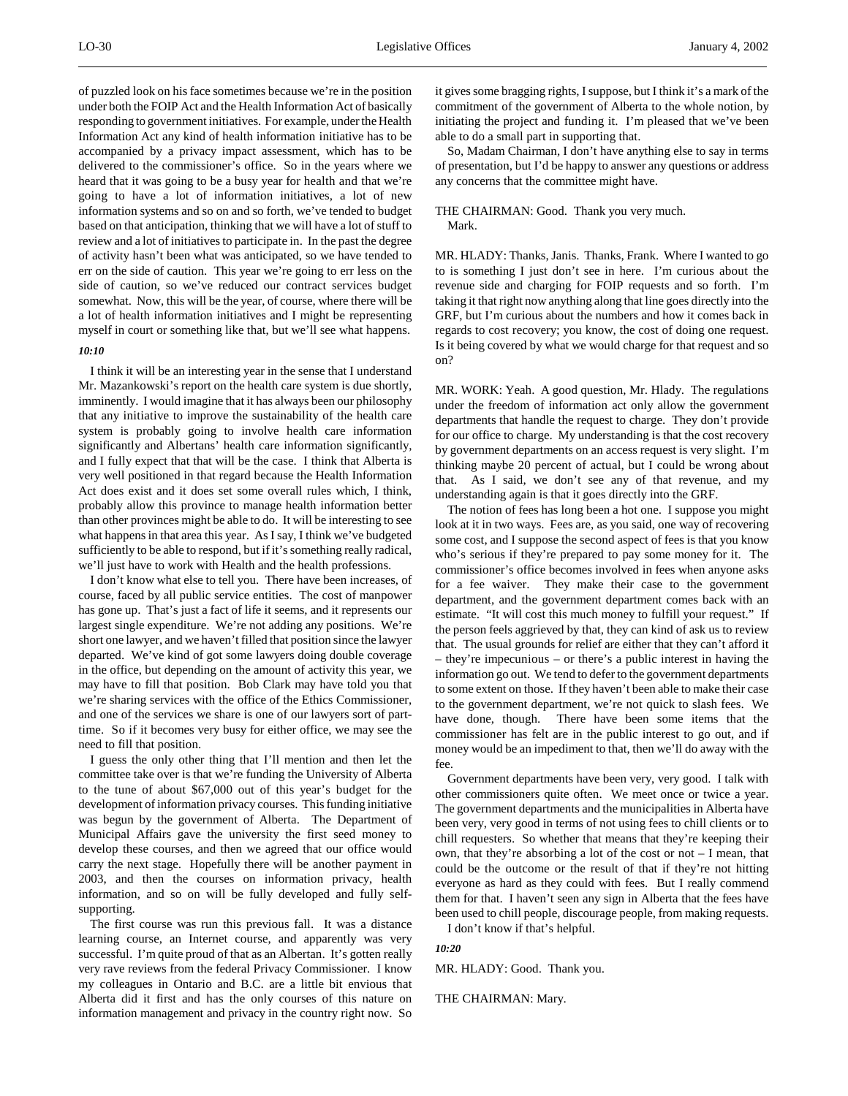of puzzled look on his face sometimes because we're in the position under both the FOIP Act and the Health Information Act of basically responding to government initiatives. For example, under the Health Information Act any kind of health information initiative has to be accompanied by a privacy impact assessment, which has to be delivered to the commissioner's office. So in the years where we heard that it was going to be a busy year for health and that we're going to have a lot of information initiatives, a lot of new information systems and so on and so forth, we've tended to budget based on that anticipation, thinking that we will have a lot of stuff to review and a lot of initiatives to participate in. In the past the degree of activity hasn't been what was anticipated, so we have tended to err on the side of caution. This year we're going to err less on the side of caution, so we've reduced our contract services budget somewhat. Now, this will be the year, of course, where there will be a lot of health information initiatives and I might be representing myself in court or something like that, but we'll see what happens.

#### *10:10*

I think it will be an interesting year in the sense that I understand Mr. Mazankowski's report on the health care system is due shortly, imminently. I would imagine that it has always been our philosophy that any initiative to improve the sustainability of the health care system is probably going to involve health care information significantly and Albertans' health care information significantly, and I fully expect that that will be the case. I think that Alberta is very well positioned in that regard because the Health Information Act does exist and it does set some overall rules which, I think, probably allow this province to manage health information better than other provinces might be able to do. It will be interesting to see what happens in that area this year. As I say, I think we've budgeted sufficiently to be able to respond, but if it's something really radical, we'll just have to work with Health and the health professions.

I don't know what else to tell you. There have been increases, of course, faced by all public service entities. The cost of manpower has gone up. That's just a fact of life it seems, and it represents our largest single expenditure. We're not adding any positions. We're short one lawyer, and we haven't filled that position since the lawyer departed. We've kind of got some lawyers doing double coverage in the office, but depending on the amount of activity this year, we may have to fill that position. Bob Clark may have told you that we're sharing services with the office of the Ethics Commissioner, and one of the services we share is one of our lawyers sort of parttime. So if it becomes very busy for either office, we may see the need to fill that position.

I guess the only other thing that I'll mention and then let the committee take over is that we're funding the University of Alberta to the tune of about \$67,000 out of this year's budget for the development of information privacy courses. This funding initiative was begun by the government of Alberta. The Department of Municipal Affairs gave the university the first seed money to develop these courses, and then we agreed that our office would carry the next stage. Hopefully there will be another payment in 2003, and then the courses on information privacy, health information, and so on will be fully developed and fully selfsupporting.

The first course was run this previous fall. It was a distance learning course, an Internet course, and apparently was very successful. I'm quite proud of that as an Albertan. It's gotten really very rave reviews from the federal Privacy Commissioner. I know my colleagues in Ontario and B.C. are a little bit envious that Alberta did it first and has the only courses of this nature on information management and privacy in the country right now. So

it gives some bragging rights, I suppose, but I think it's a mark of the commitment of the government of Alberta to the whole notion, by initiating the project and funding it. I'm pleased that we've been able to do a small part in supporting that.

So, Madam Chairman, I don't have anything else to say in terms of presentation, but I'd be happy to answer any questions or address any concerns that the committee might have.

# THE CHAIRMAN: Good. Thank you very much. Mark.

MR. HLADY: Thanks, Janis. Thanks, Frank. Where I wanted to go to is something I just don't see in here. I'm curious about the revenue side and charging for FOIP requests and so forth. I'm taking it that right now anything along that line goes directly into the GRF, but I'm curious about the numbers and how it comes back in regards to cost recovery; you know, the cost of doing one request. Is it being covered by what we would charge for that request and so on?

MR. WORK: Yeah. A good question, Mr. Hlady. The regulations under the freedom of information act only allow the government departments that handle the request to charge. They don't provide for our office to charge. My understanding is that the cost recovery by government departments on an access request is very slight. I'm thinking maybe 20 percent of actual, but I could be wrong about that. As I said, we don't see any of that revenue, and my understanding again is that it goes directly into the GRF.

The notion of fees has long been a hot one. I suppose you might look at it in two ways. Fees are, as you said, one way of recovering some cost, and I suppose the second aspect of fees is that you know who's serious if they're prepared to pay some money for it. The commissioner's office becomes involved in fees when anyone asks for a fee waiver. They make their case to the government department, and the government department comes back with an estimate. "It will cost this much money to fulfill your request." If the person feels aggrieved by that, they can kind of ask us to review that. The usual grounds for relief are either that they can't afford it – they're impecunious – or there's a public interest in having the information go out. We tend to defer to the government departments to some extent on those. If they haven't been able to make their case to the government department, we're not quick to slash fees. We have done, though. There have been some items that the commissioner has felt are in the public interest to go out, and if money would be an impediment to that, then we'll do away with the fee.

Government departments have been very, very good. I talk with other commissioners quite often. We meet once or twice a year. The government departments and the municipalities in Alberta have been very, very good in terms of not using fees to chill clients or to chill requesters. So whether that means that they're keeping their own, that they're absorbing a lot of the cost or not – I mean, that could be the outcome or the result of that if they're not hitting everyone as hard as they could with fees. But I really commend them for that. I haven't seen any sign in Alberta that the fees have been used to chill people, discourage people, from making requests.

I don't know if that's helpful.

# *10:20*

MR. HLADY: Good. Thank you.

THE CHAIRMAN: Mary.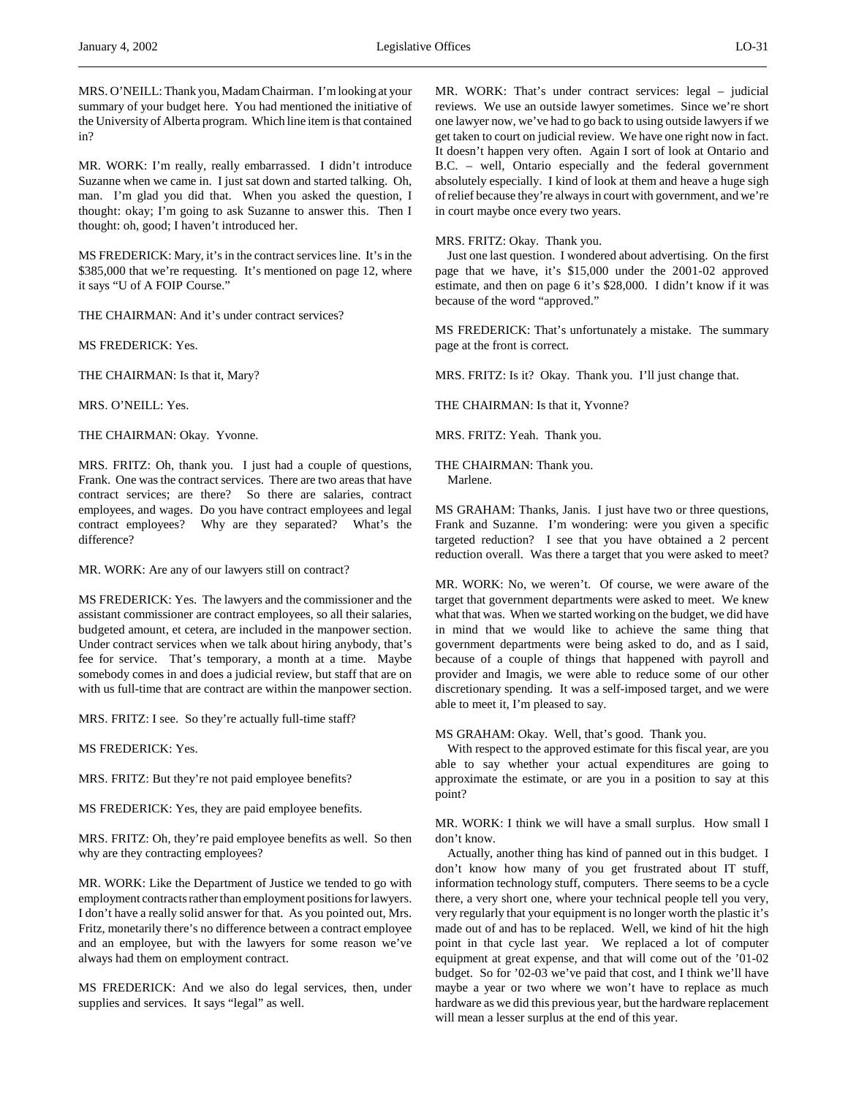MRS. O'NEILL: Thank you, Madam Chairman. I'm looking at your summary of your budget here. You had mentioned the initiative of the University of Alberta program. Which line item is that contained in?

MR. WORK: I'm really, really embarrassed. I didn't introduce Suzanne when we came in. I just sat down and started talking. Oh, man. I'm glad you did that. When you asked the question, I thought: okay; I'm going to ask Suzanne to answer this. Then I thought: oh, good; I haven't introduced her.

MS FREDERICK: Mary, it's in the contract services line. It's in the \$385,000 that we're requesting. It's mentioned on page 12, where it says "U of A FOIP Course."

THE CHAIRMAN: And it's under contract services?

MS FREDERICK: Yes.

THE CHAIRMAN: Is that it, Mary?

MRS. O'NEILL: Yes.

THE CHAIRMAN: Okay. Yvonne.

MRS. FRITZ: Oh, thank you. I just had a couple of questions, Frank. One was the contract services. There are two areas that have contract services; are there? So there are salaries, contract employees, and wages. Do you have contract employees and legal contract employees? Why are they separated? What's the difference?

MR. WORK: Are any of our lawyers still on contract?

MS FREDERICK: Yes. The lawyers and the commissioner and the assistant commissioner are contract employees, so all their salaries, budgeted amount, et cetera, are included in the manpower section. Under contract services when we talk about hiring anybody, that's fee for service. That's temporary, a month at a time. Maybe somebody comes in and does a judicial review, but staff that are on with us full-time that are contract are within the manpower section.

MRS. FRITZ: I see. So they're actually full-time staff?

MS FREDERICK: Yes.

MRS. FRITZ: But they're not paid employee benefits?

MS FREDERICK: Yes, they are paid employee benefits.

MRS. FRITZ: Oh, they're paid employee benefits as well. So then why are they contracting employees?

MR. WORK: Like the Department of Justice we tended to go with employment contracts rather than employment positions for lawyers. I don't have a really solid answer for that. As you pointed out, Mrs. Fritz, monetarily there's no difference between a contract employee and an employee, but with the lawyers for some reason we've always had them on employment contract.

MS FREDERICK: And we also do legal services, then, under supplies and services. It says "legal" as well.

MR. WORK: That's under contract services: legal – judicial reviews. We use an outside lawyer sometimes. Since we're short one lawyer now, we've had to go back to using outside lawyers if we get taken to court on judicial review. We have one right now in fact. It doesn't happen very often. Again I sort of look at Ontario and B.C. – well, Ontario especially and the federal government absolutely especially. I kind of look at them and heave a huge sigh of relief because they're always in court with government, and we're in court maybe once every two years.

MRS. FRITZ: Okay. Thank you.

Just one last question. I wondered about advertising. On the first page that we have, it's \$15,000 under the 2001-02 approved estimate, and then on page 6 it's \$28,000. I didn't know if it was because of the word "approved."

MS FREDERICK: That's unfortunately a mistake. The summary page at the front is correct.

MRS. FRITZ: Is it? Okay. Thank you. I'll just change that.

THE CHAIRMAN: Is that it, Yvonne?

MRS. FRITZ: Yeah. Thank you.

THE CHAIRMAN: Thank you. Marlene.

MS GRAHAM: Thanks, Janis. I just have two or three questions, Frank and Suzanne. I'm wondering: were you given a specific targeted reduction? I see that you have obtained a 2 percent reduction overall. Was there a target that you were asked to meet?

MR. WORK: No, we weren't. Of course, we were aware of the target that government departments were asked to meet. We knew what that was. When we started working on the budget, we did have in mind that we would like to achieve the same thing that government departments were being asked to do, and as I said, because of a couple of things that happened with payroll and provider and Imagis, we were able to reduce some of our other discretionary spending. It was a self-imposed target, and we were able to meet it, I'm pleased to say.

MS GRAHAM: Okay. Well, that's good. Thank you.

With respect to the approved estimate for this fiscal year, are you able to say whether your actual expenditures are going to approximate the estimate, or are you in a position to say at this point?

MR. WORK: I think we will have a small surplus. How small I don't know.

Actually, another thing has kind of panned out in this budget. I don't know how many of you get frustrated about IT stuff, information technology stuff, computers. There seems to be a cycle there, a very short one, where your technical people tell you very, very regularly that your equipment is no longer worth the plastic it's made out of and has to be replaced. Well, we kind of hit the high point in that cycle last year. We replaced a lot of computer equipment at great expense, and that will come out of the '01-02 budget. So for '02-03 we've paid that cost, and I think we'll have maybe a year or two where we won't have to replace as much hardware as we did this previous year, but the hardware replacement will mean a lesser surplus at the end of this year.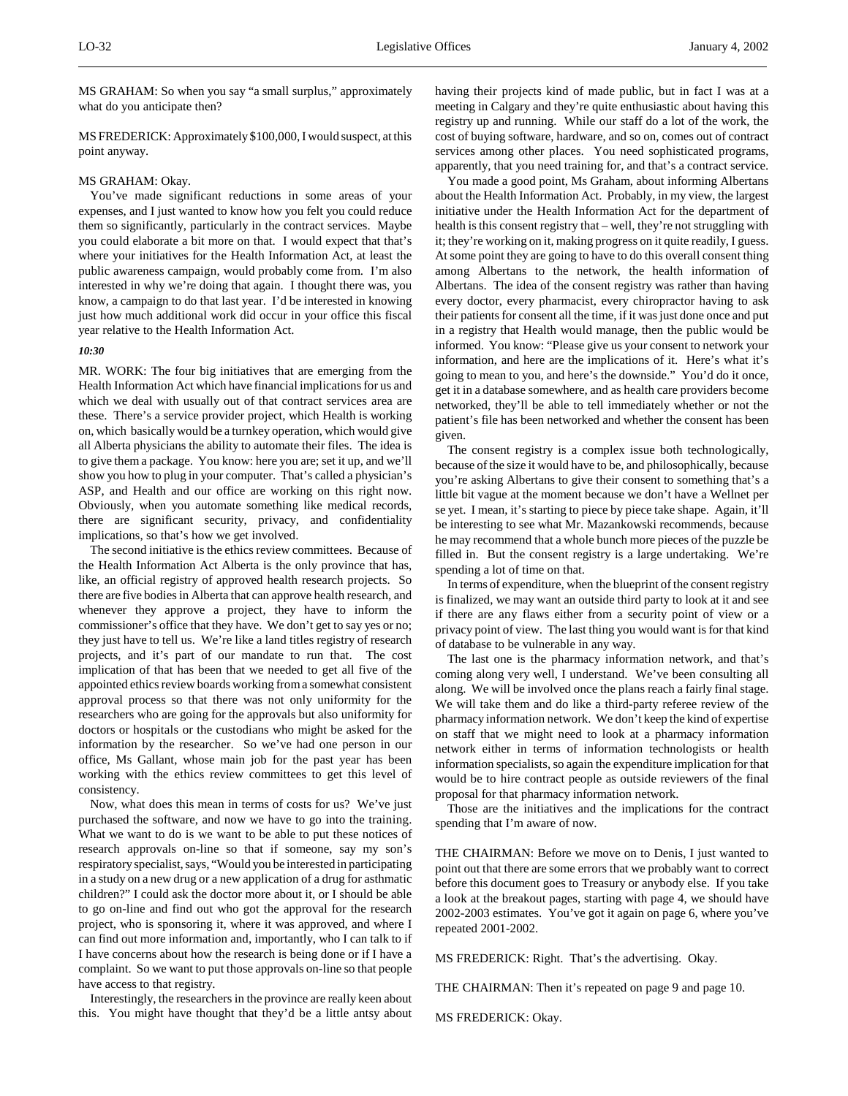MS GRAHAM: So when you say "a small surplus," approximately what do you anticipate then?

MS FREDERICK: Approximately \$100,000, I would suspect, at this point anyway.

### MS GRAHAM: Okay.

You've made significant reductions in some areas of your expenses, and I just wanted to know how you felt you could reduce them so significantly, particularly in the contract services. Maybe you could elaborate a bit more on that. I would expect that that's where your initiatives for the Health Information Act, at least the public awareness campaign, would probably come from. I'm also interested in why we're doing that again. I thought there was, you know, a campaign to do that last year. I'd be interested in knowing just how much additional work did occur in your office this fiscal year relative to the Health Information Act.

#### *10:30*

MR. WORK: The four big initiatives that are emerging from the Health Information Act which have financial implications for us and which we deal with usually out of that contract services area are these. There's a service provider project, which Health is working on, which basically would be a turnkey operation, which would give all Alberta physicians the ability to automate their files. The idea is to give them a package. You know: here you are; set it up, and we'll show you how to plug in your computer. That's called a physician's ASP, and Health and our office are working on this right now. Obviously, when you automate something like medical records, there are significant security, privacy, and confidentiality implications, so that's how we get involved.

The second initiative is the ethics review committees. Because of the Health Information Act Alberta is the only province that has, like, an official registry of approved health research projects. So there are five bodies in Alberta that can approve health research, and whenever they approve a project, they have to inform the commissioner's office that they have. We don't get to say yes or no; they just have to tell us. We're like a land titles registry of research projects, and it's part of our mandate to run that. The cost implication of that has been that we needed to get all five of the appointed ethics review boards working from a somewhat consistent approval process so that there was not only uniformity for the researchers who are going for the approvals but also uniformity for doctors or hospitals or the custodians who might be asked for the information by the researcher. So we've had one person in our office, Ms Gallant, whose main job for the past year has been working with the ethics review committees to get this level of consistency.

Now, what does this mean in terms of costs for us? We've just purchased the software, and now we have to go into the training. What we want to do is we want to be able to put these notices of research approvals on-line so that if someone, say my son's respiratory specialist, says, "Would you be interested in participating in a study on a new drug or a new application of a drug for asthmatic children?" I could ask the doctor more about it, or I should be able to go on-line and find out who got the approval for the research project, who is sponsoring it, where it was approved, and where I can find out more information and, importantly, who I can talk to if I have concerns about how the research is being done or if I have a complaint. So we want to put those approvals on-line so that people have access to that registry.

Interestingly, the researchers in the province are really keen about this. You might have thought that they'd be a little antsy about

having their projects kind of made public, but in fact I was at a meeting in Calgary and they're quite enthusiastic about having this registry up and running. While our staff do a lot of the work, the cost of buying software, hardware, and so on, comes out of contract services among other places. You need sophisticated programs, apparently, that you need training for, and that's a contract service.

You made a good point, Ms Graham, about informing Albertans about the Health Information Act. Probably, in my view, the largest initiative under the Health Information Act for the department of health is this consent registry that – well, they're not struggling with it; they're working on it, making progress on it quite readily, I guess. At some point they are going to have to do this overall consent thing among Albertans to the network, the health information of Albertans. The idea of the consent registry was rather than having every doctor, every pharmacist, every chiropractor having to ask their patients for consent all the time, if it was just done once and put in a registry that Health would manage, then the public would be informed. You know: "Please give us your consent to network your information, and here are the implications of it. Here's what it's going to mean to you, and here's the downside." You'd do it once, get it in a database somewhere, and as health care providers become networked, they'll be able to tell immediately whether or not the patient's file has been networked and whether the consent has been given.

The consent registry is a complex issue both technologically, because of the size it would have to be, and philosophically, because you're asking Albertans to give their consent to something that's a little bit vague at the moment because we don't have a Wellnet per se yet. I mean, it's starting to piece by piece take shape. Again, it'll be interesting to see what Mr. Mazankowski recommends, because he may recommend that a whole bunch more pieces of the puzzle be filled in. But the consent registry is a large undertaking. We're spending a lot of time on that.

In terms of expenditure, when the blueprint of the consent registry is finalized, we may want an outside third party to look at it and see if there are any flaws either from a security point of view or a privacy point of view. The last thing you would want is for that kind of database to be vulnerable in any way.

The last one is the pharmacy information network, and that's coming along very well, I understand. We've been consulting all along. We will be involved once the plans reach a fairly final stage. We will take them and do like a third-party referee review of the pharmacy information network. We don't keep the kind of expertise on staff that we might need to look at a pharmacy information network either in terms of information technologists or health information specialists, so again the expenditure implication for that would be to hire contract people as outside reviewers of the final proposal for that pharmacy information network.

Those are the initiatives and the implications for the contract spending that I'm aware of now.

THE CHAIRMAN: Before we move on to Denis, I just wanted to point out that there are some errors that we probably want to correct before this document goes to Treasury or anybody else. If you take a look at the breakout pages, starting with page 4, we should have 2002-2003 estimates. You've got it again on page 6, where you've repeated 2001-2002.

MS FREDERICK: Right. That's the advertising. Okay.

THE CHAIRMAN: Then it's repeated on page 9 and page 10.

MS FREDERICK: Okay.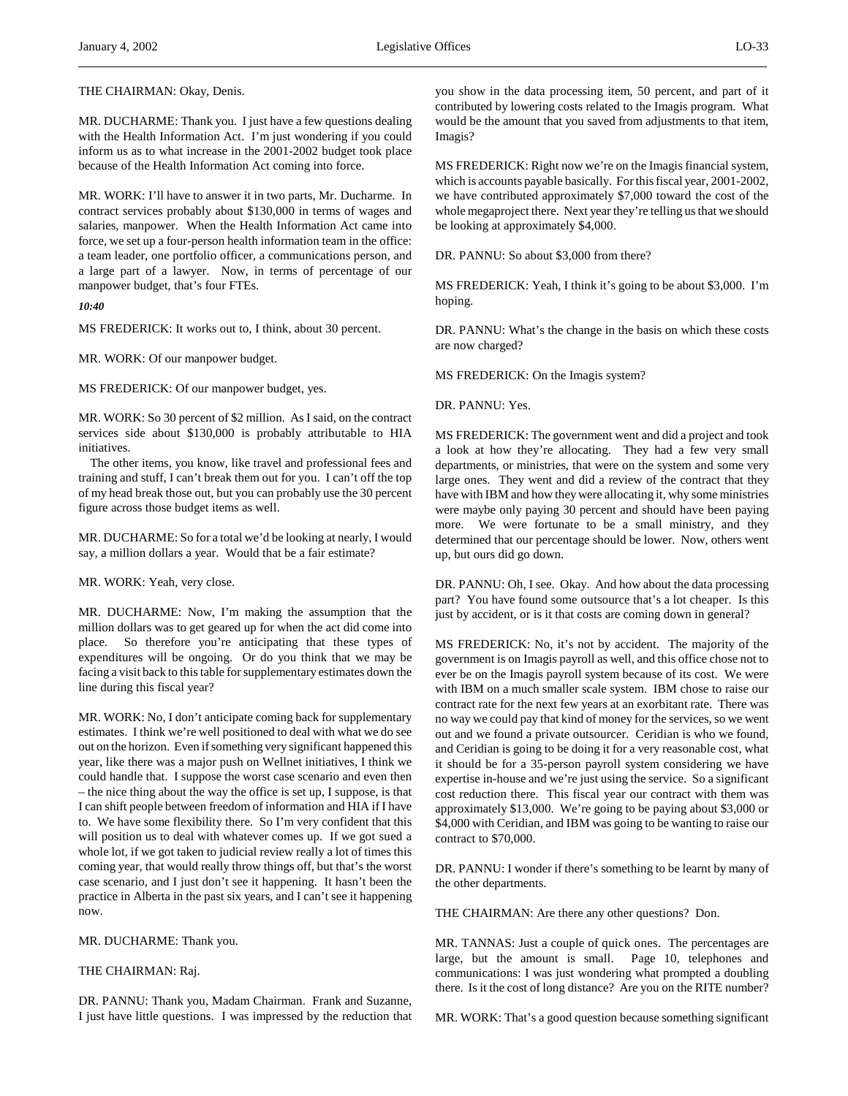# THE CHAIRMAN: Okay, Denis.

MR. DUCHARME: Thank you. I just have a few questions dealing with the Health Information Act. I'm just wondering if you could inform us as to what increase in the 2001-2002 budget took place because of the Health Information Act coming into force.

MR. WORK: I'll have to answer it in two parts, Mr. Ducharme. In contract services probably about \$130,000 in terms of wages and salaries, manpower. When the Health Information Act came into force, we set up a four-person health information team in the office: a team leader, one portfolio officer, a communications person, and a large part of a lawyer. Now, in terms of percentage of our manpower budget, that's four FTEs.

*10:40*

MS FREDERICK: It works out to, I think, about 30 percent.

MR. WORK: Of our manpower budget.

MS FREDERICK: Of our manpower budget, yes.

MR. WORK: So 30 percent of \$2 million. As I said, on the contract services side about \$130,000 is probably attributable to HIA initiatives.

The other items, you know, like travel and professional fees and training and stuff, I can't break them out for you. I can't off the top of my head break those out, but you can probably use the 30 percent figure across those budget items as well.

MR. DUCHARME: So for a total we'd be looking at nearly, I would say, a million dollars a year. Would that be a fair estimate?

MR. WORK: Yeah, very close.

MR. DUCHARME: Now, I'm making the assumption that the million dollars was to get geared up for when the act did come into place. So therefore you're anticipating that these types of expenditures will be ongoing. Or do you think that we may be facing a visit back to this table for supplementary estimates down the line during this fiscal year?

MR. WORK: No, I don't anticipate coming back for supplementary estimates. I think we're well positioned to deal with what we do see out on the horizon. Even if something very significant happened this year, like there was a major push on Wellnet initiatives, I think we could handle that. I suppose the worst case scenario and even then – the nice thing about the way the office is set up, I suppose, is that I can shift people between freedom of information and HIA if I have to. We have some flexibility there. So I'm very confident that this will position us to deal with whatever comes up. If we got sued a whole lot, if we got taken to judicial review really a lot of times this coming year, that would really throw things off, but that's the worst case scenario, and I just don't see it happening. It hasn't been the practice in Alberta in the past six years, and I can't see it happening now.

MR. DUCHARME: Thank you.

# THE CHAIRMAN: Raj.

DR. PANNU: Thank you, Madam Chairman. Frank and Suzanne, I just have little questions. I was impressed by the reduction that you show in the data processing item, 50 percent, and part of it contributed by lowering costs related to the Imagis program. What would be the amount that you saved from adjustments to that item, Imagis?

MS FREDERICK: Right now we're on the Imagis financial system, which is accounts payable basically. For this fiscal year, 2001-2002, we have contributed approximately \$7,000 toward the cost of the whole megaproject there. Next year they're telling us that we should be looking at approximately \$4,000.

DR. PANNU: So about \$3,000 from there?

MS FREDERICK: Yeah, I think it's going to be about \$3,000. I'm hoping.

DR. PANNU: What's the change in the basis on which these costs are now charged?

MS FREDERICK: On the Imagis system?

DR. PANNU: Yes.

MS FREDERICK: The government went and did a project and took a look at how they're allocating. They had a few very small departments, or ministries, that were on the system and some very large ones. They went and did a review of the contract that they have with IBM and how they were allocating it, why some ministries were maybe only paying 30 percent and should have been paying more. We were fortunate to be a small ministry, and they determined that our percentage should be lower. Now, others went up, but ours did go down.

DR. PANNU: Oh, I see. Okay. And how about the data processing part? You have found some outsource that's a lot cheaper. Is this just by accident, or is it that costs are coming down in general?

MS FREDERICK: No, it's not by accident. The majority of the government is on Imagis payroll as well, and this office chose not to ever be on the Imagis payroll system because of its cost. We were with IBM on a much smaller scale system. IBM chose to raise our contract rate for the next few years at an exorbitant rate. There was no way we could pay that kind of money for the services, so we went out and we found a private outsourcer. Ceridian is who we found, and Ceridian is going to be doing it for a very reasonable cost, what it should be for a 35-person payroll system considering we have expertise in-house and we're just using the service. So a significant cost reduction there. This fiscal year our contract with them was approximately \$13,000. We're going to be paying about \$3,000 or \$4,000 with Ceridian, and IBM was going to be wanting to raise our contract to \$70,000.

DR. PANNU: I wonder if there's something to be learnt by many of the other departments.

THE CHAIRMAN: Are there any other questions? Don.

MR. TANNAS: Just a couple of quick ones. The percentages are large, but the amount is small. Page 10, telephones and communications: I was just wondering what prompted a doubling there. Is it the cost of long distance? Are you on the RITE number?

MR. WORK: That's a good question because something significant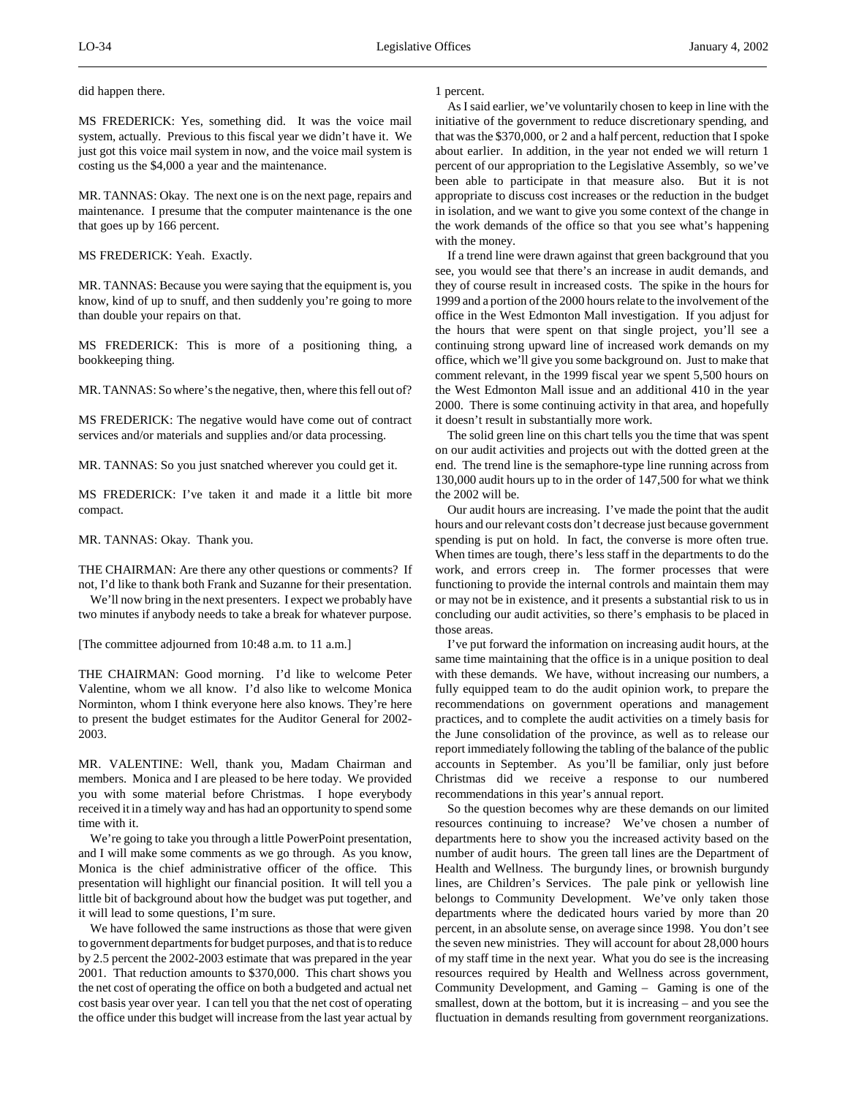did happen there.

MS FREDERICK: Yes, something did. It was the voice mail system, actually. Previous to this fiscal year we didn't have it. We just got this voice mail system in now, and the voice mail system is costing us the \$4,000 a year and the maintenance.

MR. TANNAS: Okay. The next one is on the next page, repairs and maintenance. I presume that the computer maintenance is the one that goes up by 166 percent.

# MS FREDERICK: Yeah. Exactly.

MR. TANNAS: Because you were saying that the equipment is, you know, kind of up to snuff, and then suddenly you're going to more than double your repairs on that.

MS FREDERICK: This is more of a positioning thing, a bookkeeping thing.

MR. TANNAS: So where's the negative, then, where this fell out of?

MS FREDERICK: The negative would have come out of contract services and/or materials and supplies and/or data processing.

MR. TANNAS: So you just snatched wherever you could get it.

MS FREDERICK: I've taken it and made it a little bit more compact.

MR. TANNAS: Okay. Thank you.

THE CHAIRMAN: Are there any other questions or comments? If not, I'd like to thank both Frank and Suzanne for their presentation.

We'll now bring in the next presenters. I expect we probably have two minutes if anybody needs to take a break for whatever purpose.

[The committee adjourned from 10:48 a.m. to 11 a.m.]

THE CHAIRMAN: Good morning. I'd like to welcome Peter Valentine, whom we all know. I'd also like to welcome Monica Norminton, whom I think everyone here also knows. They're here to present the budget estimates for the Auditor General for 2002- 2003.

MR. VALENTINE: Well, thank you, Madam Chairman and members. Monica and I are pleased to be here today. We provided you with some material before Christmas. I hope everybody received it in a timely way and has had an opportunity to spend some time with it.

We're going to take you through a little PowerPoint presentation, and I will make some comments as we go through. As you know, Monica is the chief administrative officer of the office. This presentation will highlight our financial position. It will tell you a little bit of background about how the budget was put together, and it will lead to some questions, I'm sure.

We have followed the same instructions as those that were given to government departments for budget purposes, and that is to reduce by 2.5 percent the 2002-2003 estimate that was prepared in the year 2001. That reduction amounts to \$370,000. This chart shows you the net cost of operating the office on both a budgeted and actual net cost basis year over year. I can tell you that the net cost of operating the office under this budget will increase from the last year actual by

# 1 percent.

As I said earlier, we've voluntarily chosen to keep in line with the initiative of the government to reduce discretionary spending, and that was the \$370,000, or 2 and a half percent, reduction that I spoke about earlier. In addition, in the year not ended we will return 1 percent of our appropriation to the Legislative Assembly, so we've been able to participate in that measure also. But it is not appropriate to discuss cost increases or the reduction in the budget in isolation, and we want to give you some context of the change in the work demands of the office so that you see what's happening with the money.

If a trend line were drawn against that green background that you see, you would see that there's an increase in audit demands, and they of course result in increased costs. The spike in the hours for 1999 and a portion of the 2000 hours relate to the involvement of the office in the West Edmonton Mall investigation. If you adjust for the hours that were spent on that single project, you'll see a continuing strong upward line of increased work demands on my office, which we'll give you some background on. Just to make that comment relevant, in the 1999 fiscal year we spent 5,500 hours on the West Edmonton Mall issue and an additional 410 in the year 2000. There is some continuing activity in that area, and hopefully it doesn't result in substantially more work.

The solid green line on this chart tells you the time that was spent on our audit activities and projects out with the dotted green at the end. The trend line is the semaphore-type line running across from 130,000 audit hours up to in the order of 147,500 for what we think the 2002 will be.

Our audit hours are increasing. I've made the point that the audit hours and our relevant costs don't decrease just because government spending is put on hold. In fact, the converse is more often true. When times are tough, there's less staff in the departments to do the work, and errors creep in. The former processes that were functioning to provide the internal controls and maintain them may or may not be in existence, and it presents a substantial risk to us in concluding our audit activities, so there's emphasis to be placed in those areas.

I've put forward the information on increasing audit hours, at the same time maintaining that the office is in a unique position to deal with these demands. We have, without increasing our numbers, a fully equipped team to do the audit opinion work, to prepare the recommendations on government operations and management practices, and to complete the audit activities on a timely basis for the June consolidation of the province, as well as to release our report immediately following the tabling of the balance of the public accounts in September. As you'll be familiar, only just before Christmas did we receive a response to our numbered recommendations in this year's annual report.

So the question becomes why are these demands on our limited resources continuing to increase? We've chosen a number of departments here to show you the increased activity based on the number of audit hours. The green tall lines are the Department of Health and Wellness. The burgundy lines, or brownish burgundy lines, are Children's Services. The pale pink or yellowish line belongs to Community Development. We've only taken those departments where the dedicated hours varied by more than 20 percent, in an absolute sense, on average since 1998. You don't see the seven new ministries. They will account for about 28,000 hours of my staff time in the next year. What you do see is the increasing resources required by Health and Wellness across government, Community Development, and Gaming – Gaming is one of the smallest, down at the bottom, but it is increasing – and you see the fluctuation in demands resulting from government reorganizations.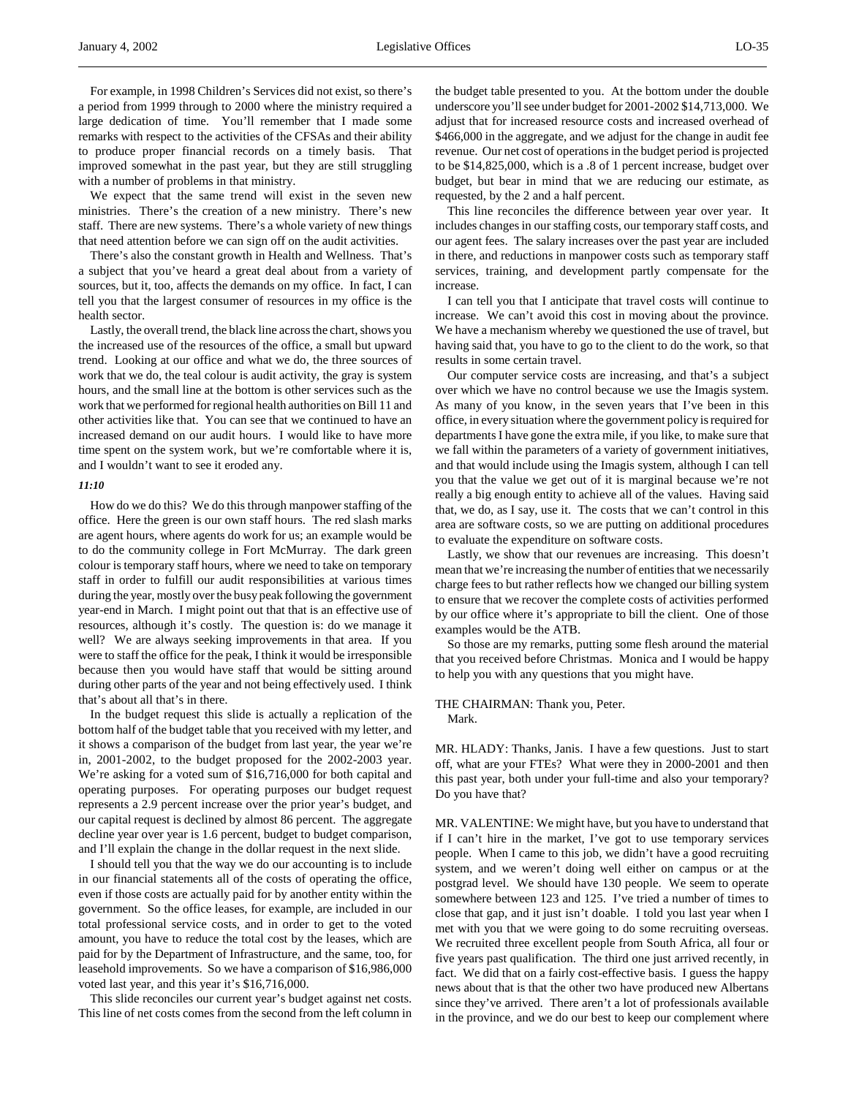We expect that the same trend will exist in the seven new ministries. There's the creation of a new ministry. There's new staff. There are new systems. There's a whole variety of new things that need attention before we can sign off on the audit activities.

There's also the constant growth in Health and Wellness. That's a subject that you've heard a great deal about from a variety of sources, but it, too, affects the demands on my office. In fact, I can tell you that the largest consumer of resources in my office is the health sector.

Lastly, the overall trend, the black line across the chart, shows you the increased use of the resources of the office, a small but upward trend. Looking at our office and what we do, the three sources of work that we do, the teal colour is audit activity, the gray is system hours, and the small line at the bottom is other services such as the work that we performed for regional health authorities on Bill 11 and other activities like that. You can see that we continued to have an increased demand on our audit hours. I would like to have more time spent on the system work, but we're comfortable where it is, and I wouldn't want to see it eroded any.

# *11:10*

How do we do this? We do this through manpower staffing of the office. Here the green is our own staff hours. The red slash marks are agent hours, where agents do work for us; an example would be to do the community college in Fort McMurray. The dark green colour is temporary staff hours, where we need to take on temporary staff in order to fulfill our audit responsibilities at various times during the year, mostly over the busy peak following the government year-end in March. I might point out that that is an effective use of resources, although it's costly. The question is: do we manage it well? We are always seeking improvements in that area. If you were to staff the office for the peak, I think it would be irresponsible because then you would have staff that would be sitting around during other parts of the year and not being effectively used. I think that's about all that's in there.

In the budget request this slide is actually a replication of the bottom half of the budget table that you received with my letter, and it shows a comparison of the budget from last year, the year we're in, 2001-2002, to the budget proposed for the 2002-2003 year. We're asking for a voted sum of \$16,716,000 for both capital and operating purposes. For operating purposes our budget request represents a 2.9 percent increase over the prior year's budget, and our capital request is declined by almost 86 percent. The aggregate decline year over year is 1.6 percent, budget to budget comparison, and I'll explain the change in the dollar request in the next slide.

I should tell you that the way we do our accounting is to include in our financial statements all of the costs of operating the office, even if those costs are actually paid for by another entity within the government. So the office leases, for example, are included in our total professional service costs, and in order to get to the voted amount, you have to reduce the total cost by the leases, which are paid for by the Department of Infrastructure, and the same, too, for leasehold improvements. So we have a comparison of \$16,986,000 voted last year, and this year it's \$16,716,000.

This slide reconciles our current year's budget against net costs. This line of net costs comes from the second from the left column in the budget table presented to you. At the bottom under the double underscore you'll see under budget for 2001-2002 \$14,713,000. We adjust that for increased resource costs and increased overhead of \$466,000 in the aggregate, and we adjust for the change in audit fee revenue. Our net cost of operations in the budget period is projected to be \$14,825,000, which is a .8 of 1 percent increase, budget over budget, but bear in mind that we are reducing our estimate, as requested, by the 2 and a half percent.

This line reconciles the difference between year over year. It includes changes in our staffing costs, our temporary staff costs, and our agent fees. The salary increases over the past year are included in there, and reductions in manpower costs such as temporary staff services, training, and development partly compensate for the increase.

I can tell you that I anticipate that travel costs will continue to increase. We can't avoid this cost in moving about the province. We have a mechanism whereby we questioned the use of travel, but having said that, you have to go to the client to do the work, so that results in some certain travel.

Our computer service costs are increasing, and that's a subject over which we have no control because we use the Imagis system. As many of you know, in the seven years that I've been in this office, in every situation where the government policy is required for departments I have gone the extra mile, if you like, to make sure that we fall within the parameters of a variety of government initiatives, and that would include using the Imagis system, although I can tell you that the value we get out of it is marginal because we're not really a big enough entity to achieve all of the values. Having said that, we do, as I say, use it. The costs that we can't control in this area are software costs, so we are putting on additional procedures to evaluate the expenditure on software costs.

Lastly, we show that our revenues are increasing. This doesn't mean that we're increasing the number of entities that we necessarily charge fees to but rather reflects how we changed our billing system to ensure that we recover the complete costs of activities performed by our office where it's appropriate to bill the client. One of those examples would be the ATB.

So those are my remarks, putting some flesh around the material that you received before Christmas. Monica and I would be happy to help you with any questions that you might have.

### THE CHAIRMAN: Thank you, Peter. Mark.

MR. HLADY: Thanks, Janis. I have a few questions. Just to start off, what are your FTEs? What were they in 2000-2001 and then this past year, both under your full-time and also your temporary? Do you have that?

MR. VALENTINE: We might have, but you have to understand that if I can't hire in the market, I've got to use temporary services people. When I came to this job, we didn't have a good recruiting system, and we weren't doing well either on campus or at the postgrad level. We should have 130 people. We seem to operate somewhere between 123 and 125. I've tried a number of times to close that gap, and it just isn't doable. I told you last year when I met with you that we were going to do some recruiting overseas. We recruited three excellent people from South Africa, all four or five years past qualification. The third one just arrived recently, in fact. We did that on a fairly cost-effective basis. I guess the happy news about that is that the other two have produced new Albertans since they've arrived. There aren't a lot of professionals available in the province, and we do our best to keep our complement where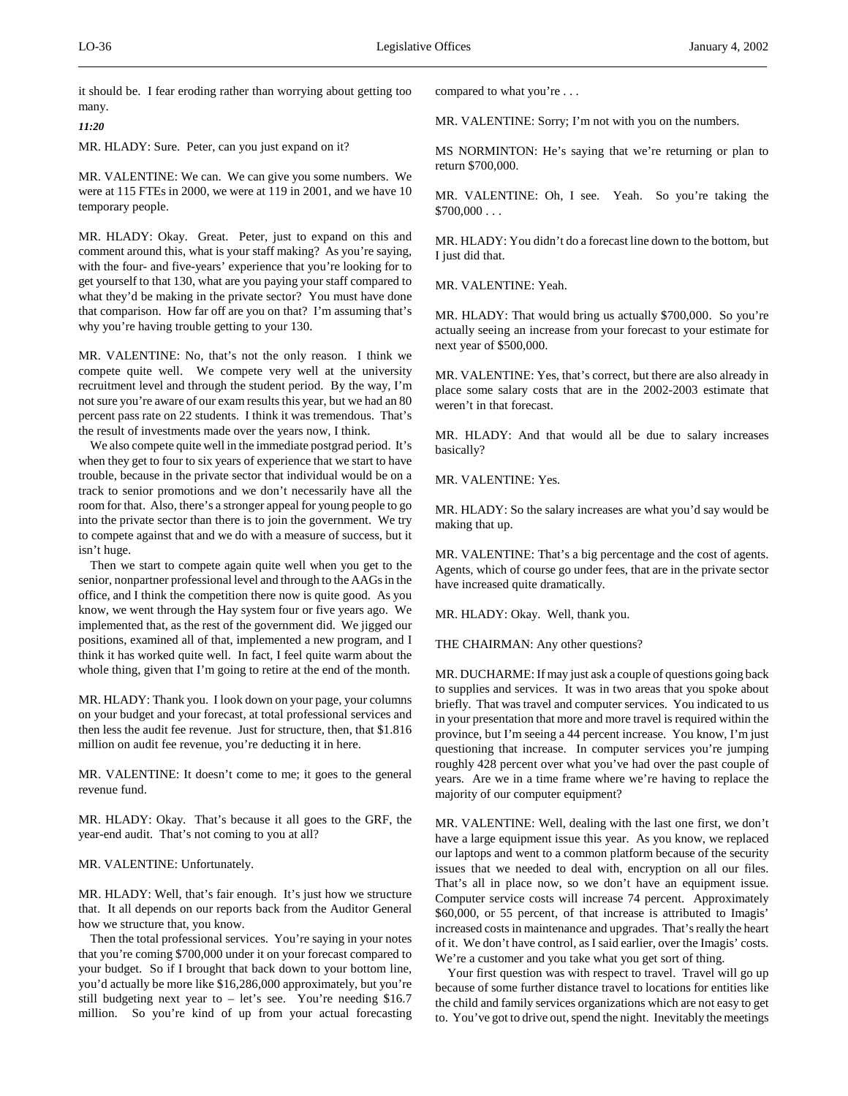it should be. I fear eroding rather than worrying about getting too many.

*11:20*

MR. HLADY: Sure. Peter, can you just expand on it?

MR. VALENTINE: We can. We can give you some numbers. We were at 115 FTEs in 2000, we were at 119 in 2001, and we have 10 temporary people.

MR. HLADY: Okay. Great. Peter, just to expand on this and comment around this, what is your staff making? As you're saying, with the four- and five-years' experience that you're looking for to get yourself to that 130, what are you paying your staff compared to what they'd be making in the private sector? You must have done that comparison. How far off are you on that? I'm assuming that's why you're having trouble getting to your 130.

MR. VALENTINE: No, that's not the only reason. I think we compete quite well. We compete very well at the university recruitment level and through the student period. By the way, I'm not sure you're aware of our exam results this year, but we had an 80 percent pass rate on 22 students. I think it was tremendous. That's the result of investments made over the years now, I think.

We also compete quite well in the immediate postgrad period. It's when they get to four to six years of experience that we start to have trouble, because in the private sector that individual would be on a track to senior promotions and we don't necessarily have all the room for that. Also, there's a stronger appeal for young people to go into the private sector than there is to join the government. We try to compete against that and we do with a measure of success, but it isn't huge.

Then we start to compete again quite well when you get to the senior, nonpartner professional level and through to the AAGs in the office, and I think the competition there now is quite good. As you know, we went through the Hay system four or five years ago. We implemented that, as the rest of the government did. We jigged our positions, examined all of that, implemented a new program, and I think it has worked quite well. In fact, I feel quite warm about the whole thing, given that I'm going to retire at the end of the month.

MR. HLADY: Thank you. I look down on your page, your columns on your budget and your forecast, at total professional services and then less the audit fee revenue. Just for structure, then, that \$1.816 million on audit fee revenue, you're deducting it in here.

MR. VALENTINE: It doesn't come to me; it goes to the general revenue fund.

MR. HLADY: Okay. That's because it all goes to the GRF, the year-end audit. That's not coming to you at all?

# MR. VALENTINE: Unfortunately.

MR. HLADY: Well, that's fair enough. It's just how we structure that. It all depends on our reports back from the Auditor General how we structure that, you know.

Then the total professional services. You're saying in your notes that you're coming \$700,000 under it on your forecast compared to your budget. So if I brought that back down to your bottom line, you'd actually be more like \$16,286,000 approximately, but you're still budgeting next year to – let's see. You're needing \$16.7 million. So you're kind of up from your actual forecasting compared to what you're . . .

MR. VALENTINE: Sorry; I'm not with you on the numbers.

MS NORMINTON: He's saying that we're returning or plan to return \$700,000.

MR. VALENTINE: Oh, I see. Yeah. So you're taking the  $$700,000...$ 

MR. HLADY: You didn't do a forecast line down to the bottom, but I just did that.

MR. VALENTINE: Yeah.

MR. HLADY: That would bring us actually \$700,000. So you're actually seeing an increase from your forecast to your estimate for next year of \$500,000.

MR. VALENTINE: Yes, that's correct, but there are also already in place some salary costs that are in the 2002-2003 estimate that weren't in that forecast.

MR. HLADY: And that would all be due to salary increases basically?

MR. VALENTINE: Yes.

MR. HLADY: So the salary increases are what you'd say would be making that up.

MR. VALENTINE: That's a big percentage and the cost of agents. Agents, which of course go under fees, that are in the private sector have increased quite dramatically.

MR. HLADY: Okay. Well, thank you.

THE CHAIRMAN: Any other questions?

MR. DUCHARME: If may just ask a couple of questions going back to supplies and services. It was in two areas that you spoke about briefly. That was travel and computer services. You indicated to us in your presentation that more and more travel is required within the province, but I'm seeing a 44 percent increase. You know, I'm just questioning that increase. In computer services you're jumping roughly 428 percent over what you've had over the past couple of years. Are we in a time frame where we're having to replace the majority of our computer equipment?

MR. VALENTINE: Well, dealing with the last one first, we don't have a large equipment issue this year. As you know, we replaced our laptops and went to a common platform because of the security issues that we needed to deal with, encryption on all our files. That's all in place now, so we don't have an equipment issue. Computer service costs will increase 74 percent. Approximately \$60,000, or 55 percent, of that increase is attributed to Imagis' increased costs in maintenance and upgrades. That's really the heart of it. We don't have control, as I said earlier, over the Imagis' costs. We're a customer and you take what you get sort of thing.

Your first question was with respect to travel. Travel will go up because of some further distance travel to locations for entities like the child and family services organizations which are not easy to get to. You've got to drive out, spend the night. Inevitably the meetings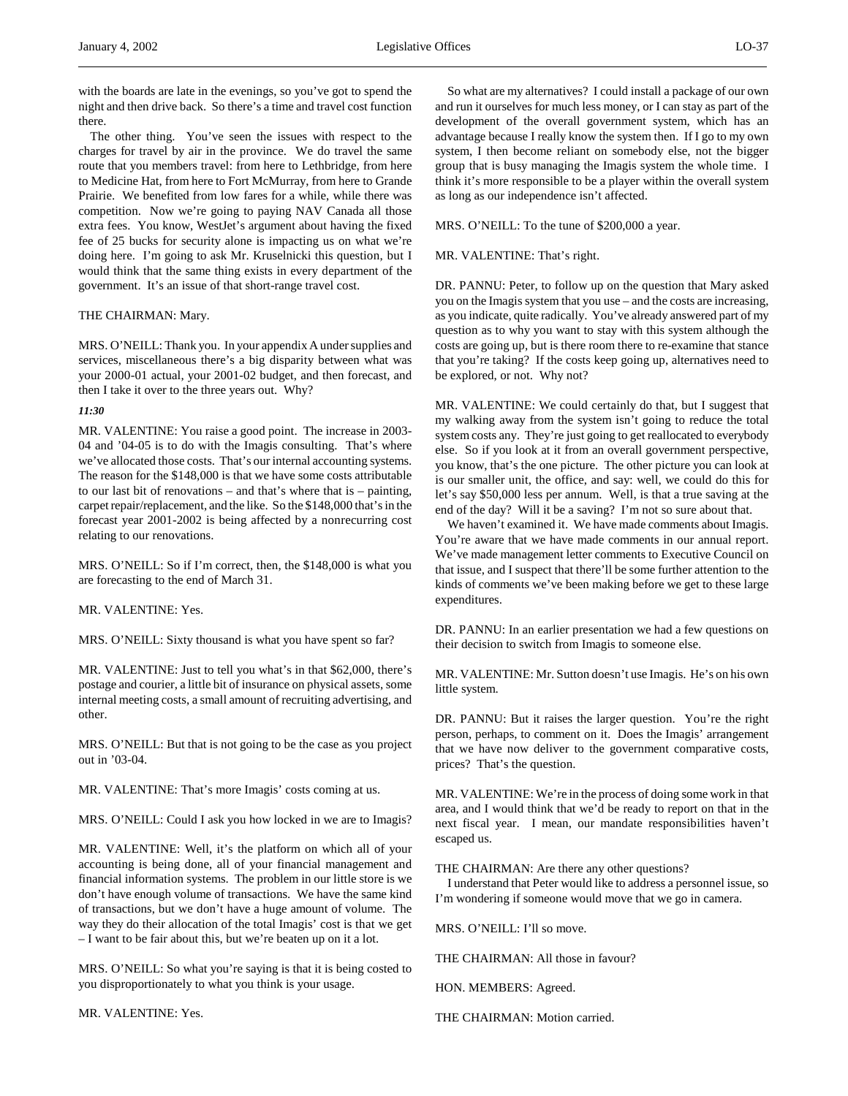with the boards are late in the evenings, so you've got to spend the night and then drive back. So there's a time and travel cost function there.

The other thing. You've seen the issues with respect to the charges for travel by air in the province. We do travel the same route that you members travel: from here to Lethbridge, from here to Medicine Hat, from here to Fort McMurray, from here to Grande Prairie. We benefited from low fares for a while, while there was competition. Now we're going to paying NAV Canada all those extra fees. You know, WestJet's argument about having the fixed fee of 25 bucks for security alone is impacting us on what we're doing here. I'm going to ask Mr. Kruselnicki this question, but I would think that the same thing exists in every department of the government. It's an issue of that short-range travel cost.

# THE CHAIRMAN: Mary.

MRS. O'NEILL: Thank you. In your appendix A under supplies and services, miscellaneous there's a big disparity between what was your 2000-01 actual, your 2001-02 budget, and then forecast, and then I take it over to the three years out. Why?

#### *11:30*

MR. VALENTINE: You raise a good point. The increase in 2003- 04 and '04-05 is to do with the Imagis consulting. That's where we've allocated those costs. That's our internal accounting systems. The reason for the \$148,000 is that we have some costs attributable to our last bit of renovations – and that's where that is – painting, carpet repair/replacement, and the like. So the \$148,000 that's in the forecast year 2001-2002 is being affected by a nonrecurring cost relating to our renovations.

MRS. O'NEILL: So if I'm correct, then, the \$148,000 is what you are forecasting to the end of March 31.

# MR. VALENTINE: Yes.

MRS. O'NEILL: Sixty thousand is what you have spent so far?

MR. VALENTINE: Just to tell you what's in that \$62,000, there's postage and courier, a little bit of insurance on physical assets, some internal meeting costs, a small amount of recruiting advertising, and other.

MRS. O'NEILL: But that is not going to be the case as you project out in '03-04.

MR. VALENTINE: That's more Imagis' costs coming at us.

MRS. O'NEILL: Could I ask you how locked in we are to Imagis?

MR. VALENTINE: Well, it's the platform on which all of your accounting is being done, all of your financial management and financial information systems. The problem in our little store is we don't have enough volume of transactions. We have the same kind of transactions, but we don't have a huge amount of volume. The way they do their allocation of the total Imagis' cost is that we get – I want to be fair about this, but we're beaten up on it a lot.

MRS. O'NEILL: So what you're saying is that it is being costed to you disproportionately to what you think is your usage.

MR. VALENTINE: Yes.

So what are my alternatives? I could install a package of our own and run it ourselves for much less money, or I can stay as part of the development of the overall government system, which has an advantage because I really know the system then. If I go to my own system, I then become reliant on somebody else, not the bigger group that is busy managing the Imagis system the whole time. I think it's more responsible to be a player within the overall system as long as our independence isn't affected.

MRS. O'NEILL: To the tune of \$200,000 a year.

MR. VALENTINE: That's right.

DR. PANNU: Peter, to follow up on the question that Mary asked you on the Imagis system that you use – and the costs are increasing, as you indicate, quite radically. You've already answered part of my question as to why you want to stay with this system although the costs are going up, but is there room there to re-examine that stance that you're taking? If the costs keep going up, alternatives need to be explored, or not. Why not?

MR. VALENTINE: We could certainly do that, but I suggest that my walking away from the system isn't going to reduce the total system costs any. They're just going to get reallocated to everybody else. So if you look at it from an overall government perspective, you know, that's the one picture. The other picture you can look at is our smaller unit, the office, and say: well, we could do this for let's say \$50,000 less per annum. Well, is that a true saving at the end of the day? Will it be a saving? I'm not so sure about that.

We haven't examined it. We have made comments about Imagis. You're aware that we have made comments in our annual report. We've made management letter comments to Executive Council on that issue, and I suspect that there'll be some further attention to the kinds of comments we've been making before we get to these large expenditures.

DR. PANNU: In an earlier presentation we had a few questions on their decision to switch from Imagis to someone else.

MR. VALENTINE: Mr. Sutton doesn't use Imagis. He's on his own little system.

DR. PANNU: But it raises the larger question. You're the right person, perhaps, to comment on it. Does the Imagis' arrangement that we have now deliver to the government comparative costs, prices? That's the question.

MR. VALENTINE: We're in the process of doing some work in that area, and I would think that we'd be ready to report on that in the next fiscal year. I mean, our mandate responsibilities haven't escaped us.

THE CHAIRMAN: Are there any other questions?

I understand that Peter would like to address a personnel issue, so I'm wondering if someone would move that we go in camera.

MRS. O'NEILL: I'll so move.

THE CHAIRMAN: All those in favour?

HON. MEMBERS: Agreed.

THE CHAIRMAN: Motion carried.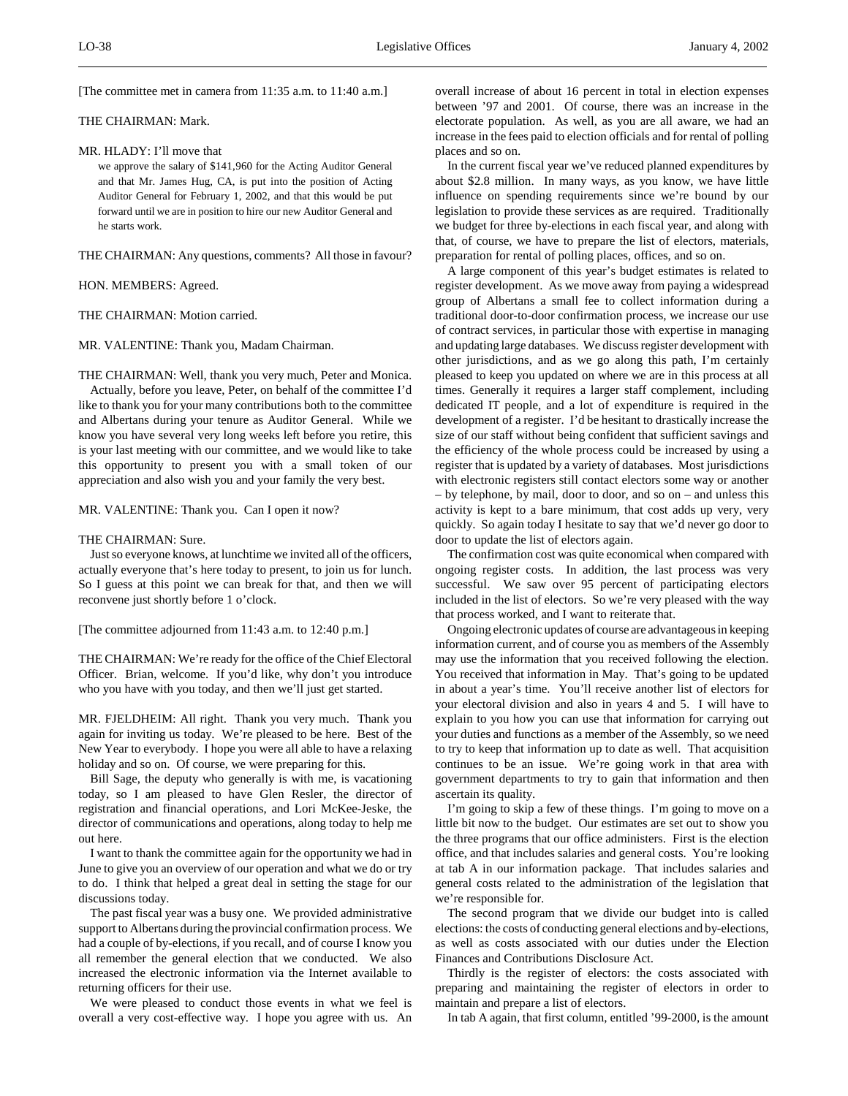[The committee met in camera from 11:35 a.m. to 11:40 a.m.]

THE CHAIRMAN: Mark.

MR. HLADY: I'll move that

we approve the salary of \$141,960 for the Acting Auditor General and that Mr. James Hug, CA, is put into the position of Acting Auditor General for February 1, 2002, and that this would be put forward until we are in position to hire our new Auditor General and he starts work.

THE CHAIRMAN: Any questions, comments? All those in favour?

HON. MEMBERS: Agreed.

THE CHAIRMAN: Motion carried.

MR. VALENTINE: Thank you, Madam Chairman.

THE CHAIRMAN: Well, thank you very much, Peter and Monica. Actually, before you leave, Peter, on behalf of the committee I'd like to thank you for your many contributions both to the committee and Albertans during your tenure as Auditor General. While we know you have several very long weeks left before you retire, this is your last meeting with our committee, and we would like to take this opportunity to present you with a small token of our appreciation and also wish you and your family the very best.

MR. VALENTINE: Thank you. Can I open it now?

#### THE CHAIRMAN: Sure.

Just so everyone knows, at lunchtime we invited all of the officers, actually everyone that's here today to present, to join us for lunch. So I guess at this point we can break for that, and then we will reconvene just shortly before 1 o'clock.

[The committee adjourned from 11:43 a.m. to 12:40 p.m.]

THE CHAIRMAN: We're ready for the office of the Chief Electoral Officer. Brian, welcome. If you'd like, why don't you introduce who you have with you today, and then we'll just get started.

MR. FJELDHEIM: All right. Thank you very much. Thank you again for inviting us today. We're pleased to be here. Best of the New Year to everybody. I hope you were all able to have a relaxing holiday and so on. Of course, we were preparing for this.

Bill Sage, the deputy who generally is with me, is vacationing today, so I am pleased to have Glen Resler, the director of registration and financial operations, and Lori McKee-Jeske, the director of communications and operations, along today to help me out here.

I want to thank the committee again for the opportunity we had in June to give you an overview of our operation and what we do or try to do. I think that helped a great deal in setting the stage for our discussions today.

The past fiscal year was a busy one. We provided administrative support to Albertans during the provincial confirmation process. We had a couple of by-elections, if you recall, and of course I know you all remember the general election that we conducted. We also increased the electronic information via the Internet available to returning officers for their use.

We were pleased to conduct those events in what we feel is overall a very cost-effective way. I hope you agree with us. An

overall increase of about 16 percent in total in election expenses between '97 and 2001. Of course, there was an increase in the electorate population. As well, as you are all aware, we had an increase in the fees paid to election officials and for rental of polling places and so on.

In the current fiscal year we've reduced planned expenditures by about \$2.8 million. In many ways, as you know, we have little influence on spending requirements since we're bound by our legislation to provide these services as are required. Traditionally we budget for three by-elections in each fiscal year, and along with that, of course, we have to prepare the list of electors, materials, preparation for rental of polling places, offices, and so on.

A large component of this year's budget estimates is related to register development. As we move away from paying a widespread group of Albertans a small fee to collect information during a traditional door-to-door confirmation process, we increase our use of contract services, in particular those with expertise in managing and updating large databases. We discuss register development with other jurisdictions, and as we go along this path, I'm certainly pleased to keep you updated on where we are in this process at all times. Generally it requires a larger staff complement, including dedicated IT people, and a lot of expenditure is required in the development of a register. I'd be hesitant to drastically increase the size of our staff without being confident that sufficient savings and the efficiency of the whole process could be increased by using a register that is updated by a variety of databases. Most jurisdictions with electronic registers still contact electors some way or another – by telephone, by mail, door to door, and so on – and unless this activity is kept to a bare minimum, that cost adds up very, very quickly. So again today I hesitate to say that we'd never go door to door to update the list of electors again.

The confirmation cost was quite economical when compared with ongoing register costs. In addition, the last process was very successful. We saw over 95 percent of participating electors included in the list of electors. So we're very pleased with the way that process worked, and I want to reiterate that.

Ongoing electronic updates of course are advantageous in keeping information current, and of course you as members of the Assembly may use the information that you received following the election. You received that information in May. That's going to be updated in about a year's time. You'll receive another list of electors for your electoral division and also in years 4 and 5. I will have to explain to you how you can use that information for carrying out your duties and functions as a member of the Assembly, so we need to try to keep that information up to date as well. That acquisition continues to be an issue. We're going work in that area with government departments to try to gain that information and then ascertain its quality.

I'm going to skip a few of these things. I'm going to move on a little bit now to the budget. Our estimates are set out to show you the three programs that our office administers. First is the election office, and that includes salaries and general costs. You're looking at tab A in our information package. That includes salaries and general costs related to the administration of the legislation that we're responsible for.

The second program that we divide our budget into is called elections: the costs of conducting general elections and by-elections, as well as costs associated with our duties under the Election Finances and Contributions Disclosure Act.

Thirdly is the register of electors: the costs associated with preparing and maintaining the register of electors in order to maintain and prepare a list of electors.

In tab A again, that first column, entitled '99-2000, is the amount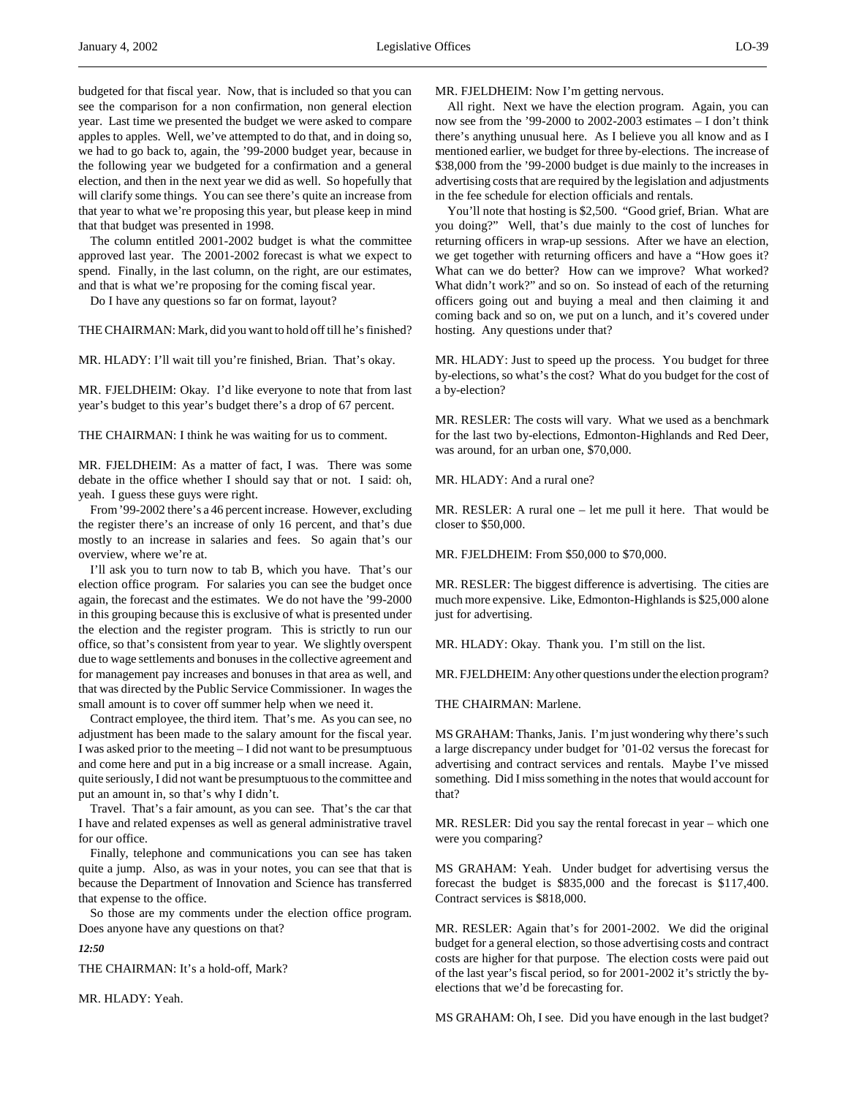budgeted for that fiscal year. Now, that is included so that you can see the comparison for a non confirmation, non general election year. Last time we presented the budget we were asked to compare apples to apples. Well, we've attempted to do that, and in doing so, we had to go back to, again, the '99-2000 budget year, because in the following year we budgeted for a confirmation and a general election, and then in the next year we did as well. So hopefully that will clarify some things. You can see there's quite an increase from that year to what we're proposing this year, but please keep in mind that that budget was presented in 1998.

The column entitled 2001-2002 budget is what the committee approved last year. The 2001-2002 forecast is what we expect to spend. Finally, in the last column, on the right, are our estimates, and that is what we're proposing for the coming fiscal year.

Do I have any questions so far on format, layout?

THE CHAIRMAN: Mark, did you want to hold off till he's finished?

MR. HLADY: I'll wait till you're finished, Brian. That's okay.

MR. FJELDHEIM: Okay. I'd like everyone to note that from last year's budget to this year's budget there's a drop of 67 percent.

THE CHAIRMAN: I think he was waiting for us to comment.

MR. FJELDHEIM: As a matter of fact, I was. There was some debate in the office whether I should say that or not. I said: oh, yeah. I guess these guys were right.

From '99-2002 there's a 46 percent increase. However, excluding the register there's an increase of only 16 percent, and that's due mostly to an increase in salaries and fees. So again that's our overview, where we're at.

I'll ask you to turn now to tab B, which you have. That's our election office program. For salaries you can see the budget once again, the forecast and the estimates. We do not have the '99-2000 in this grouping because this is exclusive of what is presented under the election and the register program. This is strictly to run our office, so that's consistent from year to year. We slightly overspent due to wage settlements and bonuses in the collective agreement and for management pay increases and bonuses in that area as well, and that was directed by the Public Service Commissioner. In wages the small amount is to cover off summer help when we need it.

Contract employee, the third item. That's me. As you can see, no adjustment has been made to the salary amount for the fiscal year. I was asked prior to the meeting – I did not want to be presumptuous and come here and put in a big increase or a small increase. Again, quite seriously, I did not want be presumptuous to the committee and put an amount in, so that's why I didn't.

Travel. That's a fair amount, as you can see. That's the car that I have and related expenses as well as general administrative travel for our office.

Finally, telephone and communications you can see has taken quite a jump. Also, as was in your notes, you can see that that is because the Department of Innovation and Science has transferred that expense to the office.

So those are my comments under the election office program. Does anyone have any questions on that?

*12:50*

THE CHAIRMAN: It's a hold-off, Mark?

MR. HLADY: Yeah.

MR. FJELDHEIM: Now I'm getting nervous.

All right. Next we have the election program. Again, you can now see from the '99-2000 to 2002-2003 estimates – I don't think there's anything unusual here. As I believe you all know and as I mentioned earlier, we budget for three by-elections. The increase of \$38,000 from the '99-2000 budget is due mainly to the increases in advertising costs that are required by the legislation and adjustments in the fee schedule for election officials and rentals.

You'll note that hosting is \$2,500. "Good grief, Brian. What are you doing?" Well, that's due mainly to the cost of lunches for returning officers in wrap-up sessions. After we have an election, we get together with returning officers and have a "How goes it? What can we do better? How can we improve? What worked? What didn't work?" and so on. So instead of each of the returning officers going out and buying a meal and then claiming it and coming back and so on, we put on a lunch, and it's covered under hosting. Any questions under that?

MR. HLADY: Just to speed up the process. You budget for three by-elections, so what's the cost? What do you budget for the cost of a by-election?

MR. RESLER: The costs will vary. What we used as a benchmark for the last two by-elections, Edmonton-Highlands and Red Deer, was around, for an urban one, \$70,000.

MR. HLADY: And a rural one?

MR. RESLER: A rural one – let me pull it here. That would be closer to \$50,000.

MR. FJELDHEIM: From \$50,000 to \$70,000.

MR. RESLER: The biggest difference is advertising. The cities are much more expensive. Like, Edmonton-Highlands is \$25,000 alone just for advertising.

MR. HLADY: Okay. Thank you. I'm still on the list.

MR. FJELDHEIM: Any other questions under the election program?

THE CHAIRMAN: Marlene.

MS GRAHAM: Thanks, Janis. I'm just wondering why there's such a large discrepancy under budget for '01-02 versus the forecast for advertising and contract services and rentals. Maybe I've missed something. Did I miss something in the notes that would account for that?

MR. RESLER: Did you say the rental forecast in year – which one were you comparing?

MS GRAHAM: Yeah. Under budget for advertising versus the forecast the budget is \$835,000 and the forecast is \$117,400. Contract services is \$818,000.

MR. RESLER: Again that's for 2001-2002. We did the original budget for a general election, so those advertising costs and contract costs are higher for that purpose. The election costs were paid out of the last year's fiscal period, so for 2001-2002 it's strictly the byelections that we'd be forecasting for.

MS GRAHAM: Oh, I see. Did you have enough in the last budget?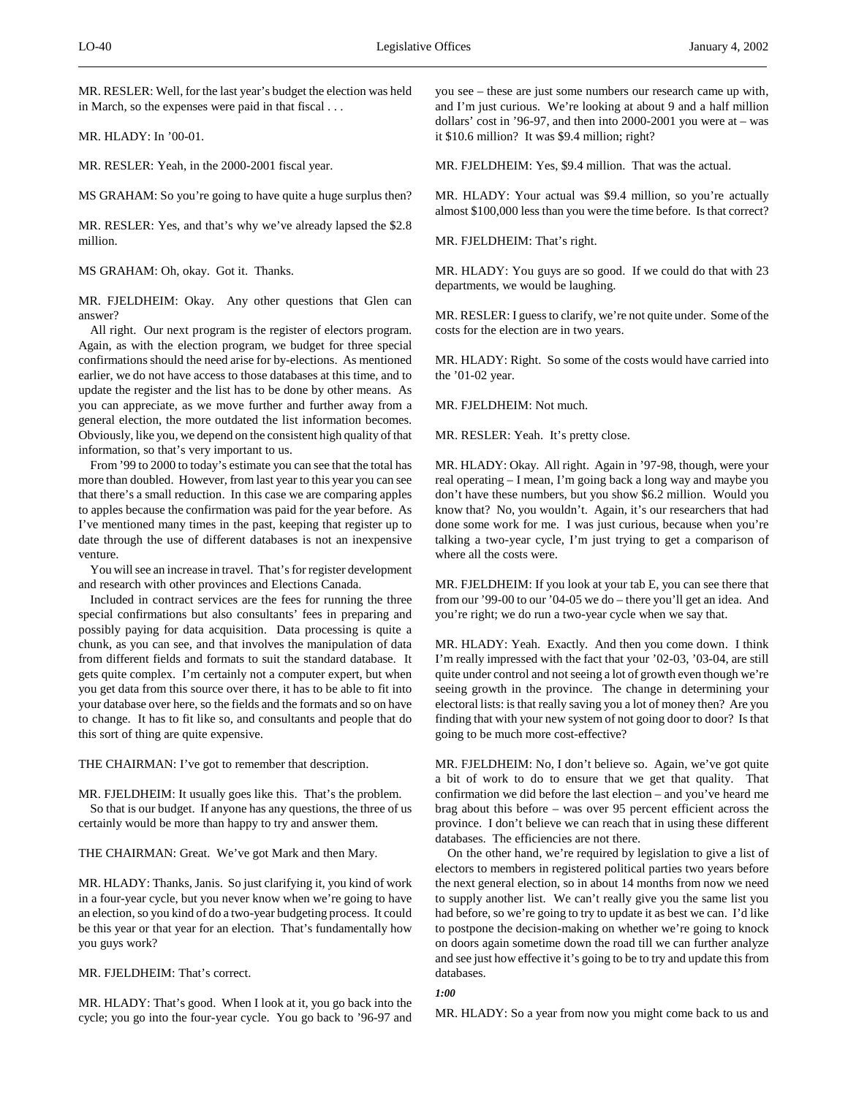MR. RESLER: Well, for the last year's budget the election was held in March, so the expenses were paid in that fiscal . . .

MR. HLADY: In '00-01.

MR. RESLER: Yeah, in the 2000-2001 fiscal year.

MS GRAHAM: So you're going to have quite a huge surplus then?

MR. RESLER: Yes, and that's why we've already lapsed the \$2.8 million.

MS GRAHAM: Oh, okay. Got it. Thanks.

MR. FJELDHEIM: Okay. Any other questions that Glen can answer?

All right. Our next program is the register of electors program. Again, as with the election program, we budget for three special confirmations should the need arise for by-elections. As mentioned earlier, we do not have access to those databases at this time, and to update the register and the list has to be done by other means. As you can appreciate, as we move further and further away from a general election, the more outdated the list information becomes. Obviously, like you, we depend on the consistent high quality of that information, so that's very important to us.

From '99 to 2000 to today's estimate you can see that the total has more than doubled. However, from last year to this year you can see that there's a small reduction. In this case we are comparing apples to apples because the confirmation was paid for the year before. As I've mentioned many times in the past, keeping that register up to date through the use of different databases is not an inexpensive venture.

You will see an increase in travel. That's for register development and research with other provinces and Elections Canada.

Included in contract services are the fees for running the three special confirmations but also consultants' fees in preparing and possibly paying for data acquisition. Data processing is quite a chunk, as you can see, and that involves the manipulation of data from different fields and formats to suit the standard database. It gets quite complex. I'm certainly not a computer expert, but when you get data from this source over there, it has to be able to fit into your database over here, so the fields and the formats and so on have to change. It has to fit like so, and consultants and people that do this sort of thing are quite expensive.

THE CHAIRMAN: I've got to remember that description.

MR. FJELDHEIM: It usually goes like this. That's the problem. So that is our budget. If anyone has any questions, the three of us certainly would be more than happy to try and answer them.

THE CHAIRMAN: Great. We've got Mark and then Mary.

MR. HLADY: Thanks, Janis. So just clarifying it, you kind of work in a four-year cycle, but you never know when we're going to have an election, so you kind of do a two-year budgeting process. It could be this year or that year for an election. That's fundamentally how you guys work?

MR. FJELDHEIM: That's correct.

MR. HLADY: That's good. When I look at it, you go back into the cycle; you go into the four-year cycle. You go back to '96-97 and you see – these are just some numbers our research came up with, and I'm just curious. We're looking at about 9 and a half million dollars' cost in '96-97, and then into 2000-2001 you were at – was it \$10.6 million? It was \$9.4 million; right?

MR. FJELDHEIM: Yes, \$9.4 million. That was the actual.

MR. HLADY: Your actual was \$9.4 million, so you're actually almost \$100,000 less than you were the time before. Is that correct?

MR. FJELDHEIM: That's right.

MR. HLADY: You guys are so good. If we could do that with 23 departments, we would be laughing.

MR. RESLER: I guess to clarify, we're not quite under. Some of the costs for the election are in two years.

MR. HLADY: Right. So some of the costs would have carried into the '01-02 year.

MR. FJELDHEIM: Not much.

MR. RESLER: Yeah. It's pretty close.

MR. HLADY: Okay. All right. Again in '97-98, though, were your real operating – I mean, I'm going back a long way and maybe you don't have these numbers, but you show \$6.2 million. Would you know that? No, you wouldn't. Again, it's our researchers that had done some work for me. I was just curious, because when you're talking a two-year cycle, I'm just trying to get a comparison of where all the costs were.

MR. FJELDHEIM: If you look at your tab E, you can see there that from our '99-00 to our '04-05 we do – there you'll get an idea. And you're right; we do run a two-year cycle when we say that.

MR. HLADY: Yeah. Exactly. And then you come down. I think I'm really impressed with the fact that your '02-03, '03-04, are still quite under control and not seeing a lot of growth even though we're seeing growth in the province. The change in determining your electoral lists: is that really saving you a lot of money then? Are you finding that with your new system of not going door to door? Is that going to be much more cost-effective?

MR. FJELDHEIM: No, I don't believe so. Again, we've got quite a bit of work to do to ensure that we get that quality. That confirmation we did before the last election – and you've heard me brag about this before – was over 95 percent efficient across the province. I don't believe we can reach that in using these different databases. The efficiencies are not there.

On the other hand, we're required by legislation to give a list of electors to members in registered political parties two years before the next general election, so in about 14 months from now we need to supply another list. We can't really give you the same list you had before, so we're going to try to update it as best we can. I'd like to postpone the decision-making on whether we're going to knock on doors again sometime down the road till we can further analyze and see just how effective it's going to be to try and update this from databases.

### *1:00*

MR. HLADY: So a year from now you might come back to us and

 $\overline{a}$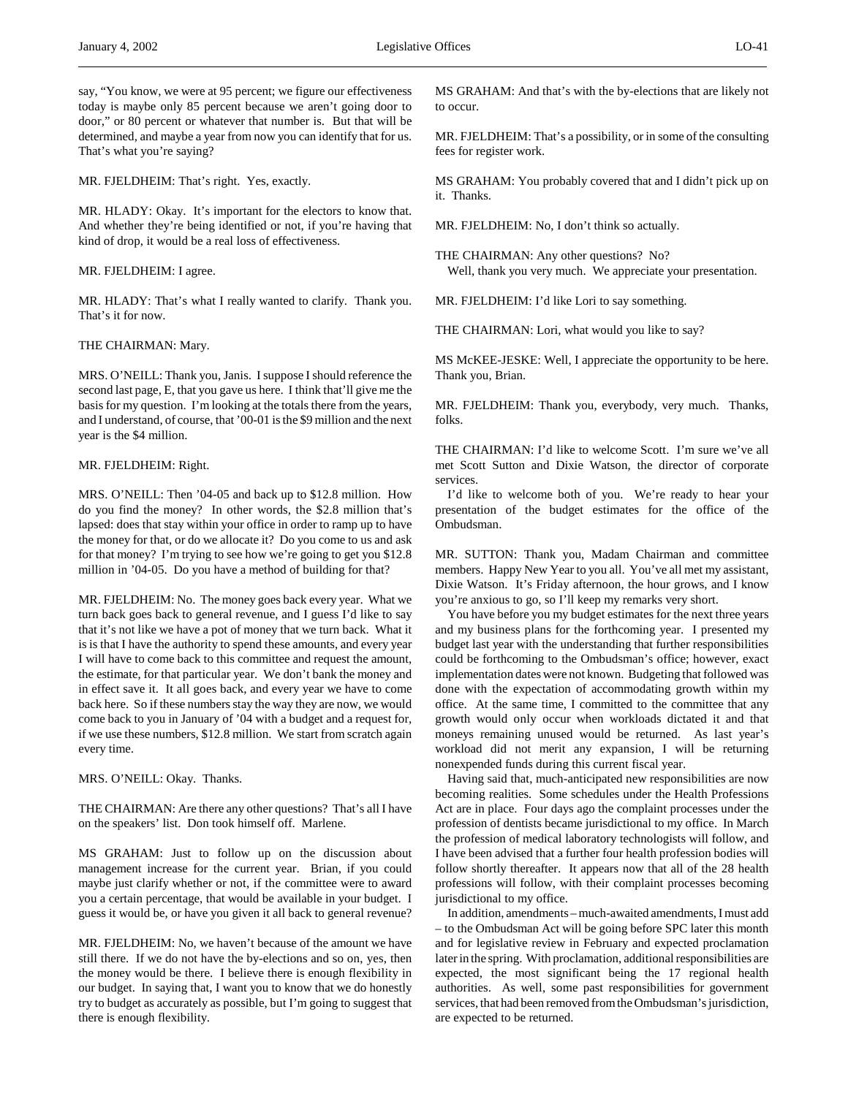say, "You know, we were at 95 percent; we figure our effectiveness today is maybe only 85 percent because we aren't going door to door," or 80 percent or whatever that number is. But that will be determined, and maybe a year from now you can identify that for us. That's what you're saying?

MR. FJELDHEIM: That's right. Yes, exactly.

MR. HLADY: Okay. It's important for the electors to know that. And whether they're being identified or not, if you're having that kind of drop, it would be a real loss of effectiveness.

### MR. FJELDHEIM: I agree.

MR. HLADY: That's what I really wanted to clarify. Thank you. That's it for now.

### THE CHAIRMAN: Mary.

MRS. O'NEILL: Thank you, Janis. I suppose I should reference the second last page, E, that you gave us here. I think that'll give me the basis for my question. I'm looking at the totals there from the years, and I understand, of course, that '00-01 is the \$9 million and the next year is the \$4 million.

# MR. FJELDHEIM: Right.

MRS. O'NEILL: Then '04-05 and back up to \$12.8 million. How do you find the money? In other words, the \$2.8 million that's lapsed: does that stay within your office in order to ramp up to have the money for that, or do we allocate it? Do you come to us and ask for that money? I'm trying to see how we're going to get you \$12.8 million in '04-05. Do you have a method of building for that?

MR. FJELDHEIM: No. The money goes back every year. What we turn back goes back to general revenue, and I guess I'd like to say that it's not like we have a pot of money that we turn back. What it is is that I have the authority to spend these amounts, and every year I will have to come back to this committee and request the amount, the estimate, for that particular year. We don't bank the money and in effect save it. It all goes back, and every year we have to come back here. So if these numbers stay the way they are now, we would come back to you in January of '04 with a budget and a request for, if we use these numbers, \$12.8 million. We start from scratch again every time.

MRS. O'NEILL: Okay. Thanks.

THE CHAIRMAN: Are there any other questions? That's all I have on the speakers' list. Don took himself off. Marlene.

MS GRAHAM: Just to follow up on the discussion about management increase for the current year. Brian, if you could maybe just clarify whether or not, if the committee were to award you a certain percentage, that would be available in your budget. I guess it would be, or have you given it all back to general revenue?

MR. FJELDHEIM: No, we haven't because of the amount we have still there. If we do not have the by-elections and so on, yes, then the money would be there. I believe there is enough flexibility in our budget. In saying that, I want you to know that we do honestly try to budget as accurately as possible, but I'm going to suggest that there is enough flexibility.

MS GRAHAM: And that's with the by-elections that are likely not to occur.

MR. FJELDHEIM: That's a possibility, or in some of the consulting fees for register work.

MS GRAHAM: You probably covered that and I didn't pick up on it. Thanks.

MR. FJELDHEIM: No, I don't think so actually.

THE CHAIRMAN: Any other questions? No? Well, thank you very much. We appreciate your presentation.

MR. FJELDHEIM: I'd like Lori to say something.

THE CHAIRMAN: Lori, what would you like to say?

MS McKEE-JESKE: Well, I appreciate the opportunity to be here. Thank you, Brian.

MR. FJELDHEIM: Thank you, everybody, very much. Thanks, folks.

THE CHAIRMAN: I'd like to welcome Scott. I'm sure we've all met Scott Sutton and Dixie Watson, the director of corporate services.

I'd like to welcome both of you. We're ready to hear your presentation of the budget estimates for the office of the Ombudsman.

MR. SUTTON: Thank you, Madam Chairman and committee members. Happy New Year to you all. You've all met my assistant, Dixie Watson. It's Friday afternoon, the hour grows, and I know you're anxious to go, so I'll keep my remarks very short.

You have before you my budget estimates for the next three years and my business plans for the forthcoming year. I presented my budget last year with the understanding that further responsibilities could be forthcoming to the Ombudsman's office; however, exact implementation dates were not known. Budgeting that followed was done with the expectation of accommodating growth within my office. At the same time, I committed to the committee that any growth would only occur when workloads dictated it and that moneys remaining unused would be returned. As last year's workload did not merit any expansion, I will be returning nonexpended funds during this current fiscal year.

Having said that, much-anticipated new responsibilities are now becoming realities. Some schedules under the Health Professions Act are in place. Four days ago the complaint processes under the profession of dentists became jurisdictional to my office. In March the profession of medical laboratory technologists will follow, and I have been advised that a further four health profession bodies will follow shortly thereafter. It appears now that all of the 28 health professions will follow, with their complaint processes becoming jurisdictional to my office.

In addition, amendments – much-awaited amendments, I must add – to the Ombudsman Act will be going before SPC later this month and for legislative review in February and expected proclamation later in the spring. With proclamation, additional responsibilities are expected, the most significant being the 17 regional health authorities. As well, some past responsibilities for government services, that had been removed from the Ombudsman's jurisdiction, are expected to be returned.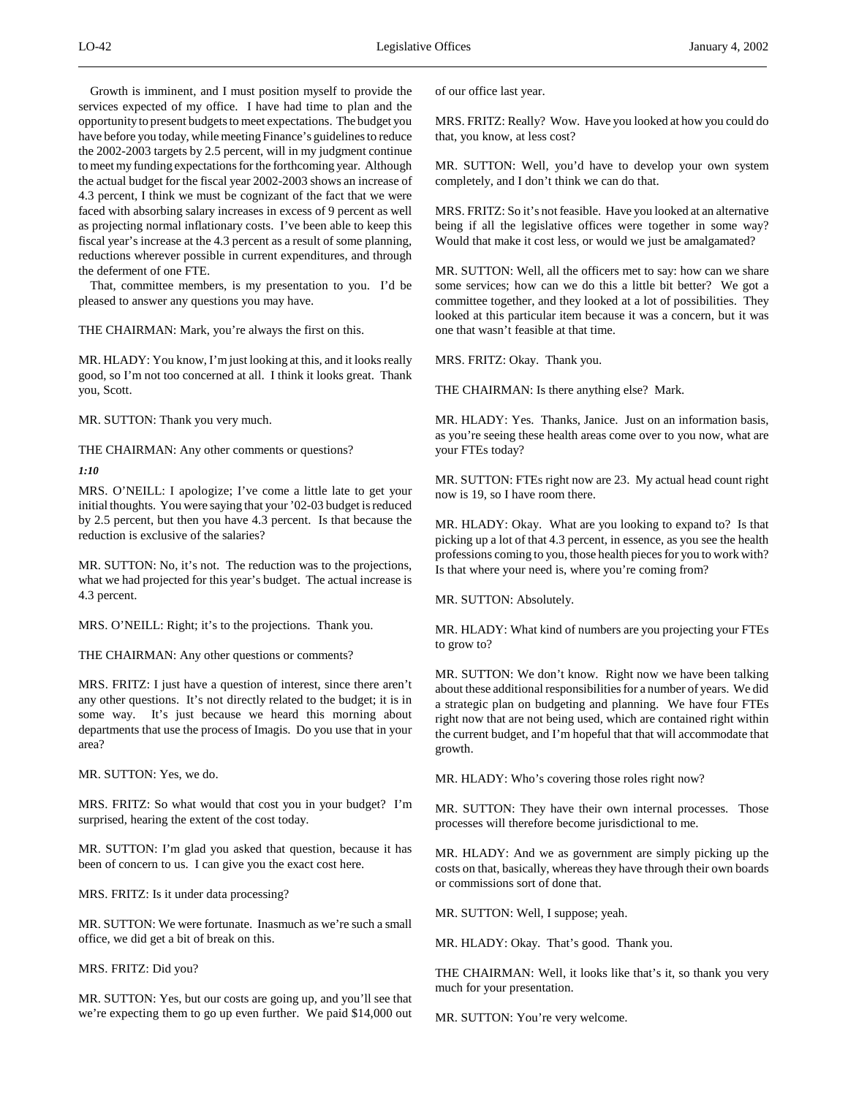Growth is imminent, and I must position myself to provide the services expected of my office. I have had time to plan and the opportunity to present budgets to meet expectations. The budget you have before you today, while meeting Finance's guidelines to reduce the 2002-2003 targets by 2.5 percent, will in my judgment continue to meet my funding expectations for the forthcoming year. Although the actual budget for the fiscal year 2002-2003 shows an increase of 4.3 percent, I think we must be cognizant of the fact that we were faced with absorbing salary increases in excess of 9 percent as well as projecting normal inflationary costs. I've been able to keep this fiscal year's increase at the 4.3 percent as a result of some planning, reductions wherever possible in current expenditures, and through the deferment of one FTE.

That, committee members, is my presentation to you. I'd be pleased to answer any questions you may have.

THE CHAIRMAN: Mark, you're always the first on this.

MR. HLADY: You know, I'm just looking at this, and it looks really good, so I'm not too concerned at all. I think it looks great. Thank you, Scott.

MR. SUTTON: Thank you very much.

THE CHAIRMAN: Any other comments or questions?

*1:10*

MRS. O'NEILL: I apologize; I've come a little late to get your initial thoughts. You were saying that your '02-03 budget is reduced by 2.5 percent, but then you have 4.3 percent. Is that because the reduction is exclusive of the salaries?

MR. SUTTON: No, it's not. The reduction was to the projections, what we had projected for this year's budget. The actual increase is 4.3 percent.

MRS. O'NEILL: Right; it's to the projections. Thank you.

THE CHAIRMAN: Any other questions or comments?

MRS. FRITZ: I just have a question of interest, since there aren't any other questions. It's not directly related to the budget; it is in some way. It's just because we heard this morning about departments that use the process of Imagis. Do you use that in your area?

MR. SUTTON: Yes, we do.

MRS. FRITZ: So what would that cost you in your budget? I'm surprised, hearing the extent of the cost today.

MR. SUTTON: I'm glad you asked that question, because it has been of concern to us. I can give you the exact cost here.

MRS. FRITZ: Is it under data processing?

MR. SUTTON: We were fortunate. Inasmuch as we're such a small office, we did get a bit of break on this.

MRS. FRITZ: Did you?

MR. SUTTON: Yes, but our costs are going up, and you'll see that we're expecting them to go up even further. We paid \$14,000 out of our office last year.

MRS. FRITZ: Really? Wow. Have you looked at how you could do that, you know, at less cost?

MR. SUTTON: Well, you'd have to develop your own system completely, and I don't think we can do that.

MRS. FRITZ: So it's not feasible. Have you looked at an alternative being if all the legislative offices were together in some way? Would that make it cost less, or would we just be amalgamated?

MR. SUTTON: Well, all the officers met to say: how can we share some services; how can we do this a little bit better? We got a committee together, and they looked at a lot of possibilities. They looked at this particular item because it was a concern, but it was one that wasn't feasible at that time.

MRS. FRITZ: Okay. Thank you.

THE CHAIRMAN: Is there anything else? Mark.

MR. HLADY: Yes. Thanks, Janice. Just on an information basis, as you're seeing these health areas come over to you now, what are your FTEs today?

MR. SUTTON: FTEs right now are 23. My actual head count right now is 19, so I have room there.

MR. HLADY: Okay. What are you looking to expand to? Is that picking up a lot of that 4.3 percent, in essence, as you see the health professions coming to you, those health pieces for you to work with? Is that where your need is, where you're coming from?

MR. SUTTON: Absolutely.

MR. HLADY: What kind of numbers are you projecting your FTEs to grow to?

MR. SUTTON: We don't know. Right now we have been talking about these additional responsibilities for a number of years. We did a strategic plan on budgeting and planning. We have four FTEs right now that are not being used, which are contained right within the current budget, and I'm hopeful that that will accommodate that growth.

MR. HLADY: Who's covering those roles right now?

MR. SUTTON: They have their own internal processes. Those processes will therefore become jurisdictional to me.

MR. HLADY: And we as government are simply picking up the costs on that, basically, whereas they have through their own boards or commissions sort of done that.

MR. SUTTON: Well, I suppose; yeah.

MR. HLADY: Okay. That's good. Thank you.

THE CHAIRMAN: Well, it looks like that's it, so thank you very much for your presentation.

MR. SUTTON: You're very welcome.

 $\overline{a}$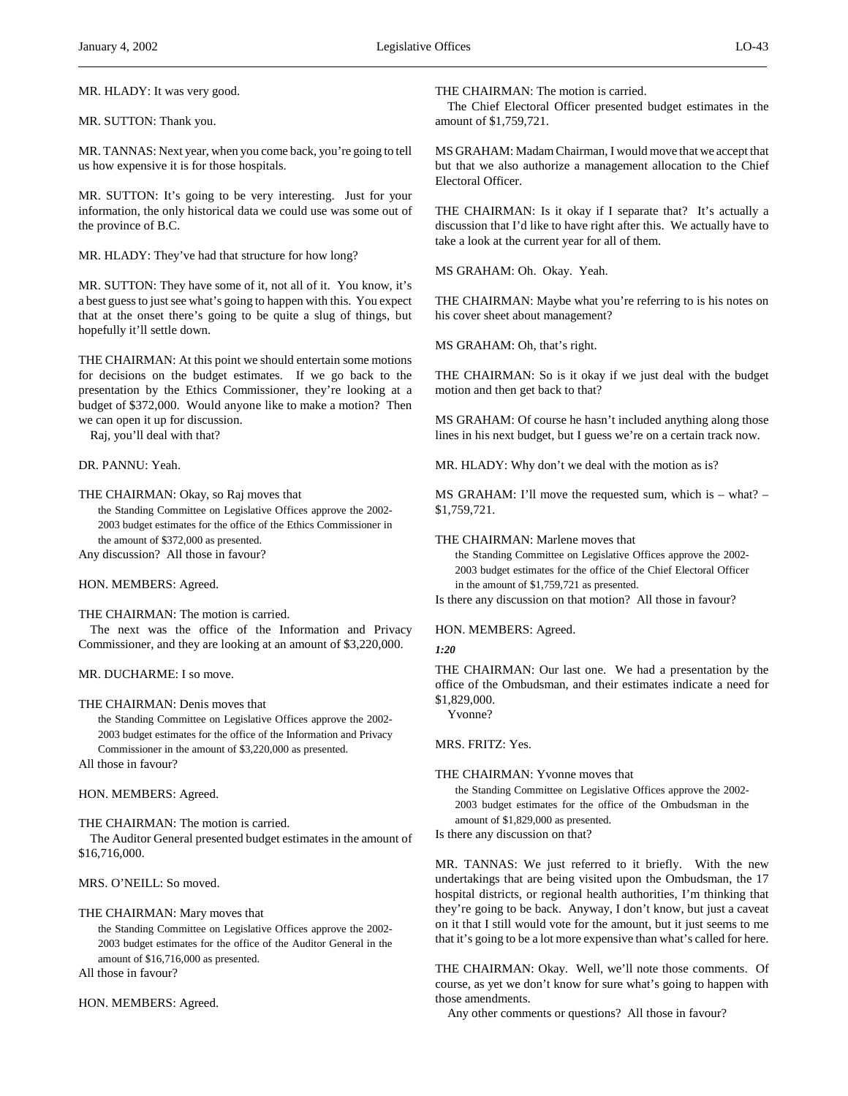MR. HLADY: It was very good.

MR. SUTTON: Thank you.

MR. TANNAS: Next year, when you come back, you're going to tell us how expensive it is for those hospitals.

MR. SUTTON: It's going to be very interesting. Just for your information, the only historical data we could use was some out of the province of B.C.

MR. HLADY: They've had that structure for how long?

MR. SUTTON: They have some of it, not all of it. You know, it's a best guess to just see what's going to happen with this. You expect that at the onset there's going to be quite a slug of things, but hopefully it'll settle down.

THE CHAIRMAN: At this point we should entertain some motions for decisions on the budget estimates. If we go back to the presentation by the Ethics Commissioner, they're looking at a budget of \$372,000. Would anyone like to make a motion? Then we can open it up for discussion.

Raj, you'll deal with that?

DR. PANNU: Yeah.

THE CHAIRMAN: Okay, so Raj moves that

the Standing Committee on Legislative Offices approve the 2002- 2003 budget estimates for the office of the Ethics Commissioner in the amount of \$372,000 as presented.

Any discussion? All those in favour?

HON. MEMBERS: Agreed.

THE CHAIRMAN: The motion is carried.

The next was the office of the Information and Privacy Commissioner, and they are looking at an amount of \$3,220,000.

MR. DUCHARME: I so move.

### THE CHAIRMAN: Denis moves that

the Standing Committee on Legislative Offices approve the 2002- 2003 budget estimates for the office of the Information and Privacy Commissioner in the amount of \$3,220,000 as presented.

All those in favour?

HON. MEMBERS: Agreed.

THE CHAIRMAN: The motion is carried.

The Auditor General presented budget estimates in the amount of \$16,716,000.

MRS. O'NEILL: So moved.

THE CHAIRMAN: Mary moves that

the Standing Committee on Legislative Offices approve the 2002- 2003 budget estimates for the office of the Auditor General in the amount of \$16,716,000 as presented.

All those in favour?

HON. MEMBERS: Agreed.

THE CHAIRMAN: The motion is carried.

The Chief Electoral Officer presented budget estimates in the amount of \$1,759,721.

MS GRAHAM: Madam Chairman, I would move that we accept that but that we also authorize a management allocation to the Chief Electoral Officer.

THE CHAIRMAN: Is it okay if I separate that? It's actually a discussion that I'd like to have right after this. We actually have to take a look at the current year for all of them.

MS GRAHAM: Oh. Okay. Yeah.

THE CHAIRMAN: Maybe what you're referring to is his notes on his cover sheet about management?

MS GRAHAM: Oh, that's right.

THE CHAIRMAN: So is it okay if we just deal with the budget motion and then get back to that?

MS GRAHAM: Of course he hasn't included anything along those lines in his next budget, but I guess we're on a certain track now.

MR. HLADY: Why don't we deal with the motion as is?

MS GRAHAM: I'll move the requested sum, which is – what? – \$1,759,721.

THE CHAIRMAN: Marlene moves that

the Standing Committee on Legislative Offices approve the 2002- 2003 budget estimates for the office of the Chief Electoral Officer in the amount of \$1,759,721 as presented.

Is there any discussion on that motion? All those in favour?

HON. MEMBERS: Agreed.

*1:20*

THE CHAIRMAN: Our last one. We had a presentation by the office of the Ombudsman, and their estimates indicate a need for \$1,829,000.

Yvonne?

MRS. FRITZ: Yes.

THE CHAIRMAN: Yvonne moves that

the Standing Committee on Legislative Offices approve the 2002- 2003 budget estimates for the office of the Ombudsman in the amount of \$1,829,000 as presented.

Is there any discussion on that?

MR. TANNAS: We just referred to it briefly. With the new undertakings that are being visited upon the Ombudsman, the 17 hospital districts, or regional health authorities, I'm thinking that they're going to be back. Anyway, I don't know, but just a caveat on it that I still would vote for the amount, but it just seems to me that it's going to be a lot more expensive than what's called for here.

THE CHAIRMAN: Okay. Well, we'll note those comments. Of course, as yet we don't know for sure what's going to happen with those amendments.

Any other comments or questions? All those in favour?